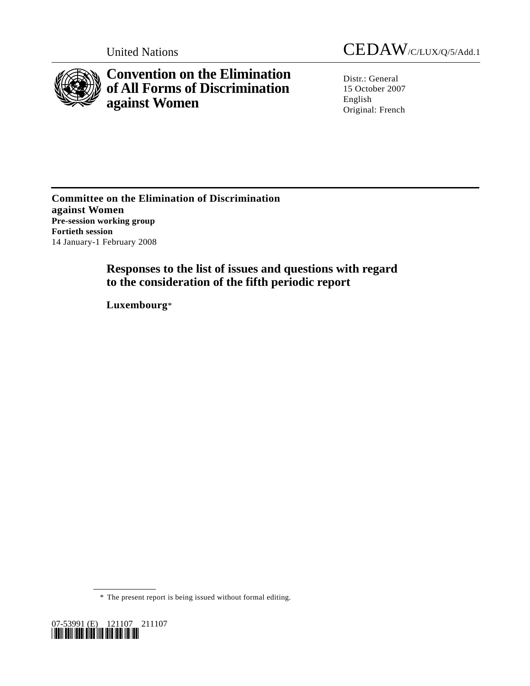

**Convention on the Elimination of All Forms of Discrimination against Women** 

United Nations CEDAW/C/LUX/Q/5/Add.1

Distr.: General 15 October 2007 English Original: French

**Committee on the Elimination of Discrimination against Women Pre-session working group Fortieth session**  14 January-1 February 2008

> **Responses to the list of issues and questions with regard to the consideration of the fifth periodic report**

 **Luxembourg**\*

\* The present report is being issued without formal editing.

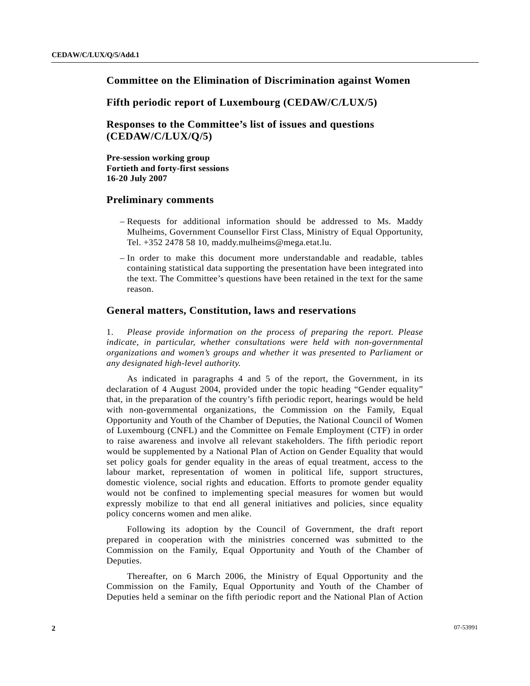# **Committee on the Elimination of Discrimination against Women**

 **Fifth periodic report of Luxembourg (CEDAW/C/LUX/5)** 

 **Responses to the Committee's list of issues and questions (CEDAW/C/LUX/Q/5)** 

 **Pre-session working group Fortieth and forty-first sessions 16-20 July 2007** 

# **Preliminary comments**

- Requests for additional information should be addressed to Ms. Maddy Mulheims, Government Counsellor First Class, Ministry of Equal Opportunity, Tel. +352 2478 58 10, maddy.mulheims@mega.etat.lu.
- In order to make this document more understandable and readable, tables containing statistical data supporting the presentation have been integrated into the text. The Committee's questions have been retained in the text for the same reason.

### **General matters, Constitution, laws and reservations**

1. *Please provide information on the process of preparing the report. Please indicate, in particular, whether consultations were held with non-governmental organizations and women's groups and whether it was presented to Parliament or any designated high-level authority.* 

 As indicated in paragraphs 4 and 5 of the report, the Government, in its declaration of 4 August 2004, provided under the topic heading "Gender equality" that, in the preparation of the country's fifth periodic report, hearings would be held with non-governmental organizations, the Commission on the Family, Equal Opportunity and Youth of the Chamber of Deputies, the National Council of Women of Luxembourg (CNFL) and the Committee on Female Employment (CTF) in order to raise awareness and involve all relevant stakeholders. The fifth periodic report would be supplemented by a National Plan of Action on Gender Equality that would set policy goals for gender equality in the areas of equal treatment, access to the labour market, representation of women in political life, support structures, domestic violence, social rights and education. Efforts to promote gender equality would not be confined to implementing special measures for women but would expressly mobilize to that end all general initiatives and policies, since equality policy concerns women and men alike.

 Following its adoption by the Council of Government, the draft report prepared in cooperation with the ministries concerned was submitted to the Commission on the Family, Equal Opportunity and Youth of the Chamber of Deputies.

 Thereafter, on 6 March 2006, the Ministry of Equal Opportunity and the Commission on the Family, Equal Opportunity and Youth of the Chamber of Deputies held a seminar on the fifth periodic report and the National Plan of Action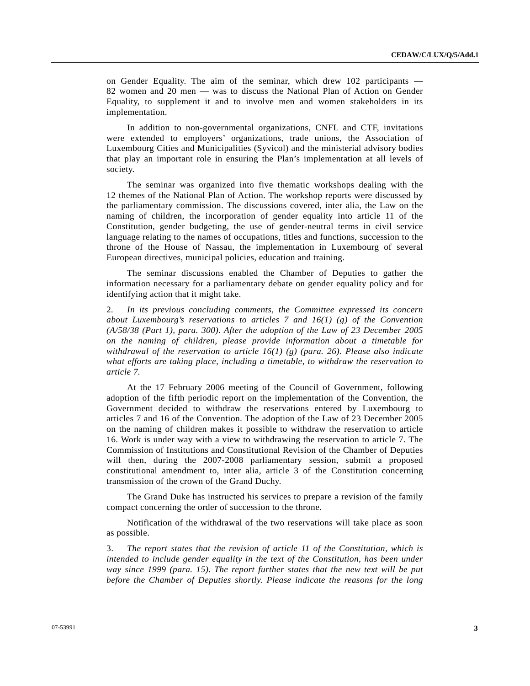on Gender Equality. The aim of the seminar, which drew 102 participants — 82 women and 20 men — was to discuss the National Plan of Action on Gender Equality, to supplement it and to involve men and women stakeholders in its implementation.

 In addition to non-governmental organizations, CNFL and CTF, invitations were extended to employers' organizations, trade unions, the Association of Luxembourg Cities and Municipalities (Syvicol) and the ministerial advisory bodies that play an important role in ensuring the Plan's implementation at all levels of society.

 The seminar was organized into five thematic workshops dealing with the 12 themes of the National Plan of Action. The workshop reports were discussed by the parliamentary commission. The discussions covered, inter alia, the Law on the naming of children, the incorporation of gender equality into article 11 of the Constitution, gender budgeting, the use of gender-neutral terms in civil service language relating to the names of occupations, titles and functions, succession to the throne of the House of Nassau, the implementation in Luxembourg of several European directives, municipal policies, education and training.

 The seminar discussions enabled the Chamber of Deputies to gather the information necessary for a parliamentary debate on gender equality policy and for identifying action that it might take.

2*. In its previous concluding comments, the Committee expressed its concern about Luxembourg's reservations to articles 7 and 16(1) (g) of the Convention (A/58/38 (Part 1), para. 300). After the adoption of the Law of 23 December 2005 on the naming of children, please provide information about a timetable for withdrawal of the reservation to article 16(1) (g) (para. 26). Please also indicate what efforts are taking place, including a timetable, to withdraw the reservation to article 7.* 

 At the 17 February 2006 meeting of the Council of Government, following adoption of the fifth periodic report on the implementation of the Convention, the Government decided to withdraw the reservations entered by Luxembourg to articles 7 and 16 of the Convention. The adoption of the Law of 23 December 2005 on the naming of children makes it possible to withdraw the reservation to article 16. Work is under way with a view to withdrawing the reservation to article 7. The Commission of Institutions and Constitutional Revision of the Chamber of Deputies will then, during the 2007-2008 parliamentary session, submit a proposed constitutional amendment to, inter alia, article 3 of the Constitution concerning transmission of the crown of the Grand Duchy.

 The Grand Duke has instructed his services to prepare a revision of the family compact concerning the order of succession to the throne.

 Notification of the withdrawal of the two reservations will take place as soon as possible.

3. *The report states that the revision of article 11 of the Constitution, which is intended to include gender equality in the text of the Constitution, has been under way since 1999 (para. 15). The report further states that the new text will be put before the Chamber of Deputies shortly. Please indicate the reasons for the long*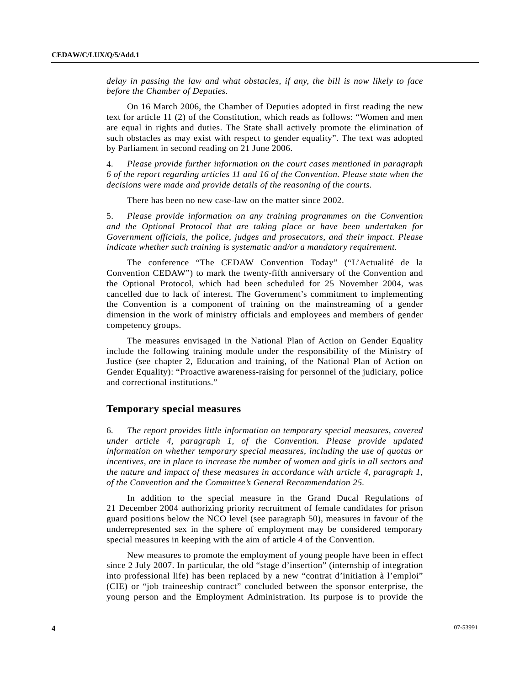*delay in passing the law and what obstacles, if any, the bill is now likely to face before the Chamber of Deputies.* 

 On 16 March 2006, the Chamber of Deputies adopted in first reading the new text for article 11 (2) of the Constitution, which reads as follows: "Women and men are equal in rights and duties. The State shall actively promote the elimination of such obstacles as may exist with respect to gender equality". The text was adopted by Parliament in second reading on 21 June 2006.

4*. Please provide further information on the court cases mentioned in paragraph 6 of the report regarding articles 11 and 16 of the Convention. Please state when the decisions were made and provide details of the reasoning of the courts.* 

There has been no new case-law on the matter since 2002.

5. *Please provide information on any training programmes on the Convention and the Optional Protocol that are taking place or have been undertaken for Government officials, the police, judges and prosecutors, and their impact. Please indicate whether such training is systematic and/or a mandatory requirement.* 

 The conference "The CEDAW Convention Today" ("L'Actualité de la Convention CEDAW") to mark the twenty-fifth anniversary of the Convention and the Optional Protocol, which had been scheduled for 25 November 2004, was cancelled due to lack of interest. The Government's commitment to implementing the Convention is a component of training on the mainstreaming of a gender dimension in the work of ministry officials and employees and members of gender competency groups.

 The measures envisaged in the National Plan of Action on Gender Equality include the following training module under the responsibility of the Ministry of Justice (see chapter 2, Education and training, of the National Plan of Action on Gender Equality): "Proactive awareness-raising for personnel of the judiciary, police and correctional institutions."

### **Temporary special measures**

6*. The report provides little information on temporary special measures, covered under article 4, paragraph 1, of the Convention. Please provide updated information on whether temporary special measures, including the use of quotas or incentives, are in place to increase the number of women and girls in all sectors and the nature and impact of these measures in accordance with article 4, paragraph 1, of the Convention and the Committee's General Recommendation 25.* 

 In addition to the special measure in the Grand Ducal Regulations of 21 December 2004 authorizing priority recruitment of female candidates for prison guard positions below the NCO level (see paragraph 50), measures in favour of the underrepresented sex in the sphere of employment may be considered temporary special measures in keeping with the aim of article 4 of the Convention.

 New measures to promote the employment of young people have been in effect since 2 July 2007. In particular, the old "stage d'insertion" (internship of integration into professional life) has been replaced by a new "contrat d'initiation à l'emploi" (CIE) or "job traineeship contract" concluded between the sponsor enterprise, the young person and the Employment Administration. Its purpose is to provide the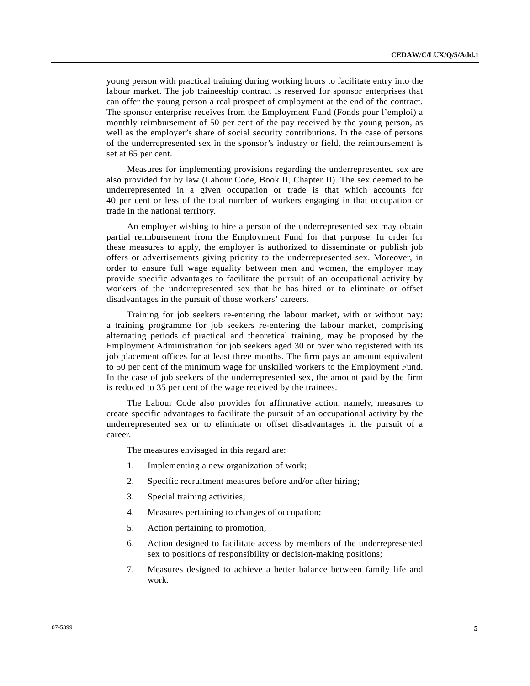young person with practical training during working hours to facilitate entry into the labour market. The job traineeship contract is reserved for sponsor enterprises that can offer the young person a real prospect of employment at the end of the contract. The sponsor enterprise receives from the Employment Fund (Fonds pour l'emploi) a monthly reimbursement of 50 per cent of the pay received by the young person, as well as the employer's share of social security contributions. In the case of persons of the underrepresented sex in the sponsor's industry or field, the reimbursement is set at 65 per cent.

 Measures for implementing provisions regarding the underrepresented sex are also provided for by law (Labour Code, Book II, Chapter II). The sex deemed to be underrepresented in a given occupation or trade is that which accounts for 40 per cent or less of the total number of workers engaging in that occupation or trade in the national territory.

 An employer wishing to hire a person of the underrepresented sex may obtain partial reimbursement from the Employment Fund for that purpose. In order for these measures to apply, the employer is authorized to disseminate or publish job offers or advertisements giving priority to the underrepresented sex. Moreover, in order to ensure full wage equality between men and women, the employer may provide specific advantages to facilitate the pursuit of an occupational activity by workers of the underrepresented sex that he has hired or to eliminate or offset disadvantages in the pursuit of those workers' careers.

 Training for job seekers re-entering the labour market, with or without pay: a training programme for job seekers re-entering the labour market, comprising alternating periods of practical and theoretical training, may be proposed by the Employment Administration for job seekers aged 30 or over who registered with its job placement offices for at least three months. The firm pays an amount equivalent to 50 per cent of the minimum wage for unskilled workers to the Employment Fund. In the case of job seekers of the underrepresented sex, the amount paid by the firm is reduced to 35 per cent of the wage received by the trainees.

 The Labour Code also provides for affirmative action, namely, measures to create specific advantages to facilitate the pursuit of an occupational activity by the underrepresented sex or to eliminate or offset disadvantages in the pursuit of a career.

The measures envisaged in this regard are:

- 1. Implementing a new organization of work;
- 2. Specific recruitment measures before and/or after hiring;
- 3. Special training activities;
- 4. Measures pertaining to changes of occupation;
- 5. Action pertaining to promotion;
- 6. Action designed to facilitate access by members of the underrepresented sex to positions of responsibility or decision-making positions;
- 7. Measures designed to achieve a better balance between family life and work.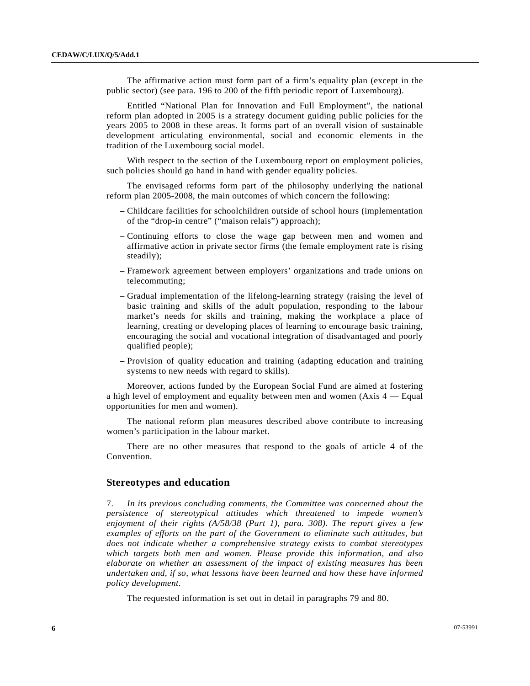The affirmative action must form part of a firm's equality plan (except in the public sector) (see para. 196 to 200 of the fifth periodic report of Luxembourg).

 Entitled "National Plan for Innovation and Full Employment", the national reform plan adopted in 2005 is a strategy document guiding public policies for the years 2005 to 2008 in these areas. It forms part of an overall vision of sustainable development articulating environmental, social and economic elements in the tradition of the Luxembourg social model.

 With respect to the section of the Luxembourg report on employment policies, such policies should go hand in hand with gender equality policies.

 The envisaged reforms form part of the philosophy underlying the national reform plan 2005-2008, the main outcomes of which concern the following:

- Childcare facilities for schoolchildren outside of school hours (implementation of the "drop-in centre" ("maison relais") approach);
- Continuing efforts to close the wage gap between men and women and affirmative action in private sector firms (the female employment rate is rising steadily);
- Framework agreement between employers' organizations and trade unions on telecommuting;
- Gradual implementation of the lifelong-learning strategy (raising the level of basic training and skills of the adult population, responding to the labour market's needs for skills and training, making the workplace a place of learning, creating or developing places of learning to encourage basic training, encouraging the social and vocational integration of disadvantaged and poorly qualified people);
- Provision of quality education and training (adapting education and training systems to new needs with regard to skills).

 Moreover, actions funded by the European Social Fund are aimed at fostering a high level of employment and equality between men and women (Axis 4 — Equal opportunities for men and women).

 The national reform plan measures described above contribute to increasing women's participation in the labour market.

 There are no other measures that respond to the goals of article 4 of the Convention.

### **Stereotypes and education**

7. *In its previous concluding comments, the Committee was concerned about the persistence of stereotypical attitudes which threatened to impede women's enjoyment of their rights (A/58/38 (Part 1), para. 308). The report gives a few examples of efforts on the part of the Government to eliminate such attitudes, but does not indicate whether a comprehensive strategy exists to combat stereotypes which targets both men and women. Please provide this information, and also elaborate on whether an assessment of the impact of existing measures has been undertaken and, if so, what lessons have been learned and how these have informed policy development.* 

The requested information is set out in detail in paragraphs 79 and 80.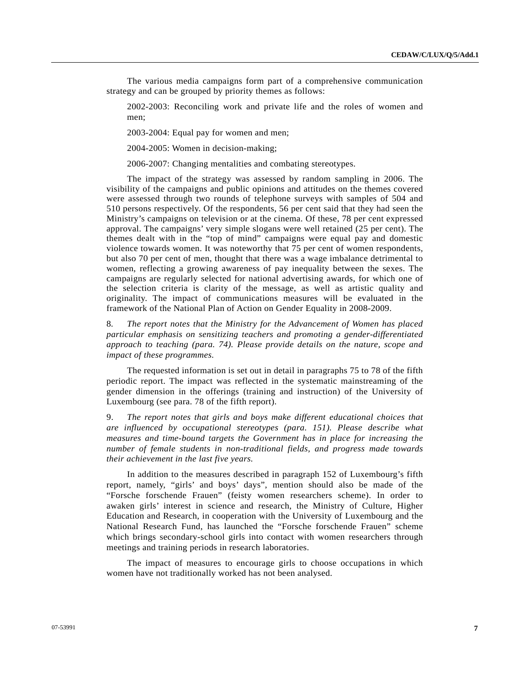The various media campaigns form part of a comprehensive communication strategy and can be grouped by priority themes as follows:

 2002-2003: Reconciling work and private life and the roles of women and men;

2003-2004: Equal pay for women and men;

2004-2005: Women in decision-making;

2006-2007: Changing mentalities and combating stereotypes.

 The impact of the strategy was assessed by random sampling in 2006. The visibility of the campaigns and public opinions and attitudes on the themes covered were assessed through two rounds of telephone surveys with samples of 504 and 510 persons respectively. Of the respondents, 56 per cent said that they had seen the Ministry's campaigns on television or at the cinema. Of these, 78 per cent expressed approval. The campaigns' very simple slogans were well retained (25 per cent). The themes dealt with in the "top of mind" campaigns were equal pay and domestic violence towards women. It was noteworthy that 75 per cent of women respondents, but also 70 per cent of men, thought that there was a wage imbalance detrimental to women, reflecting a growing awareness of pay inequality between the sexes. The campaigns are regularly selected for national advertising awards, for which one of the selection criteria is clarity of the message, as well as artistic quality and originality. The impact of communications measures will be evaluated in the framework of the National Plan of Action on Gender Equality in 2008-2009.

8*. The report notes that the Ministry for the Advancement of Women has placed particular emphasis on sensitizing teachers and promoting a gender-differentiated approach to teaching (para. 74). Please provide details on the nature, scope and impact of these programmes.* 

 The requested information is set out in detail in paragraphs 75 to 78 of the fifth periodic report. The impact was reflected in the systematic mainstreaming of the gender dimension in the offerings (training and instruction) of the University of Luxembourg (see para. 78 of the fifth report).

9. *The report notes that girls and boys make different educational choices that are influenced by occupational stereotypes (para. 151). Please describe what measures and time-bound targets the Government has in place for increasing the number of female students in non-traditional fields, and progress made towards their achievement in the last five years.* 

 In addition to the measures described in paragraph 152 of Luxembourg's fifth report, namely, "girls' and boys' days", mention should also be made of the "Forsche forschende Frauen" (feisty women researchers scheme). In order to awaken girls' interest in science and research, the Ministry of Culture, Higher Education and Research, in cooperation with the University of Luxembourg and the National Research Fund, has launched the "Forsche forschende Frauen" scheme which brings secondary-school girls into contact with women researchers through meetings and training periods in research laboratories.

 The impact of measures to encourage girls to choose occupations in which women have not traditionally worked has not been analysed.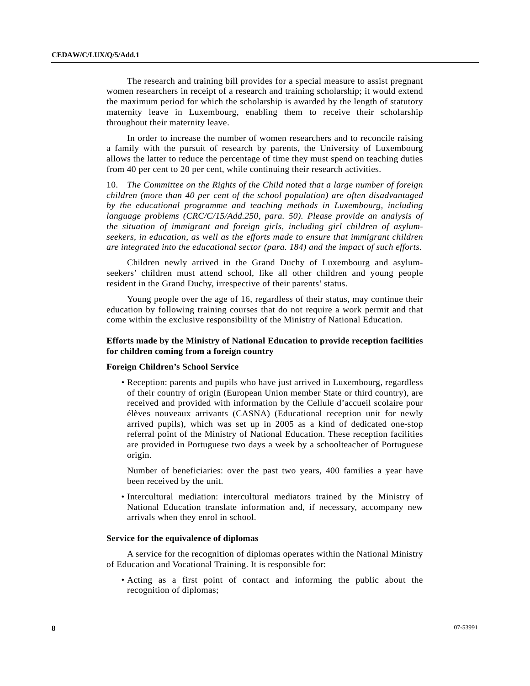The research and training bill provides for a special measure to assist pregnant women researchers in receipt of a research and training scholarship; it would extend the maximum period for which the scholarship is awarded by the length of statutory maternity leave in Luxembourg, enabling them to receive their scholarship throughout their maternity leave.

 In order to increase the number of women researchers and to reconcile raising a family with the pursuit of research by parents, the University of Luxembourg allows the latter to reduce the percentage of time they must spend on teaching duties from 40 per cent to 20 per cent, while continuing their research activities.

10. *The Committee on the Rights of the Child noted that a large number of foreign children (more than 40 per cent of the school population) are often disadvantaged by the educational programme and teaching methods in Luxembourg, including language problems (CRC/C/15/Add.250, para. 50). Please provide an analysis of the situation of immigrant and foreign girls, including girl children of asylumseekers, in education, as well as the efforts made to ensure that immigrant children are integrated into the educational sector (para. 184) and the impact of such efforts.* 

 Children newly arrived in the Grand Duchy of Luxembourg and asylumseekers' children must attend school, like all other children and young people resident in the Grand Duchy, irrespective of their parents' status.

 Young people over the age of 16, regardless of their status, may continue their education by following training courses that do not require a work permit and that come within the exclusive responsibility of the Ministry of National Education.

### **Efforts made by the Ministry of National Education to provide reception facilities for children coming from a foreign country**

### **Foreign Children's School Service**

 • Reception: parents and pupils who have just arrived in Luxembourg, regardless of their country of origin (European Union member State or third country), are received and provided with information by the Cellule d'accueil scolaire pour élèves nouveaux arrivants (CASNA) (Educational reception unit for newly arrived pupils), which was set up in 2005 as a kind of dedicated one-stop referral point of the Ministry of National Education. These reception facilities are provided in Portuguese two days a week by a schoolteacher of Portuguese origin.

 Number of beneficiaries: over the past two years, 400 families a year have been received by the unit.

 • Intercultural mediation: intercultural mediators trained by the Ministry of National Education translate information and, if necessary, accompany new arrivals when they enrol in school.

# **Service for the equivalence of diplomas**

 A service for the recognition of diplomas operates within the National Ministry of Education and Vocational Training. It is responsible for:

 • Acting as a first point of contact and informing the public about the recognition of diplomas;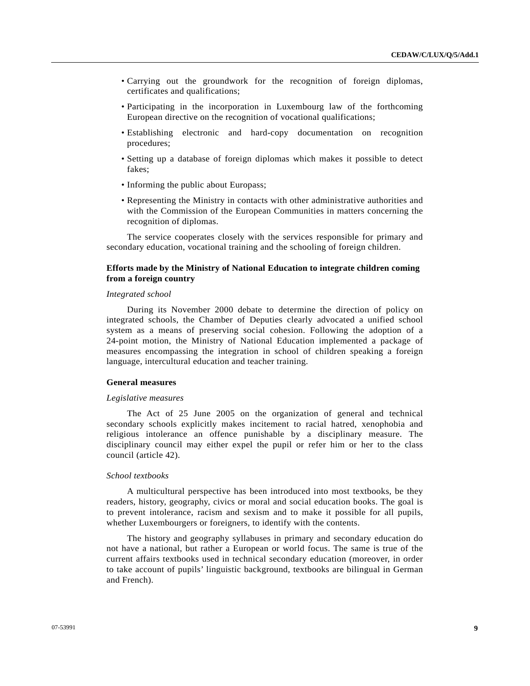- Carrying out the groundwork for the recognition of foreign diplomas, certificates and qualifications;
- Participating in the incorporation in Luxembourg law of the forthcoming European directive on the recognition of vocational qualifications;
- Establishing electronic and hard-copy documentation on recognition procedures;
- Setting up a database of foreign diplomas which makes it possible to detect fakes;
- Informing the public about Europass;
- Representing the Ministry in contacts with other administrative authorities and with the Commission of the European Communities in matters concerning the recognition of diplomas.

 The service cooperates closely with the services responsible for primary and secondary education, vocational training and the schooling of foreign children.

### **Efforts made by the Ministry of National Education to integrate children coming from a foreign country**

### *Integrated school*

 During its November 2000 debate to determine the direction of policy on integrated schools, the Chamber of Deputies clearly advocated a unified school system as a means of preserving social cohesion. Following the adoption of a 24-point motion, the Ministry of National Education implemented a package of measures encompassing the integration in school of children speaking a foreign language, intercultural education and teacher training.

### **General measures**

#### *Legislative measures*

 The Act of 25 June 2005 on the organization of general and technical secondary schools explicitly makes incitement to racial hatred, xenophobia and religious intolerance an offence punishable by a disciplinary measure. The disciplinary council may either expel the pupil or refer him or her to the class council (article 42).

### *School textbooks*

 A multicultural perspective has been introduced into most textbooks, be they readers, history, geography, civics or moral and social education books. The goal is to prevent intolerance, racism and sexism and to make it possible for all pupils, whether Luxembourgers or foreigners, to identify with the contents.

 The history and geography syllabuses in primary and secondary education do not have a national, but rather a European or world focus. The same is true of the current affairs textbooks used in technical secondary education (moreover, in order to take account of pupils' linguistic background, textbooks are bilingual in German and French).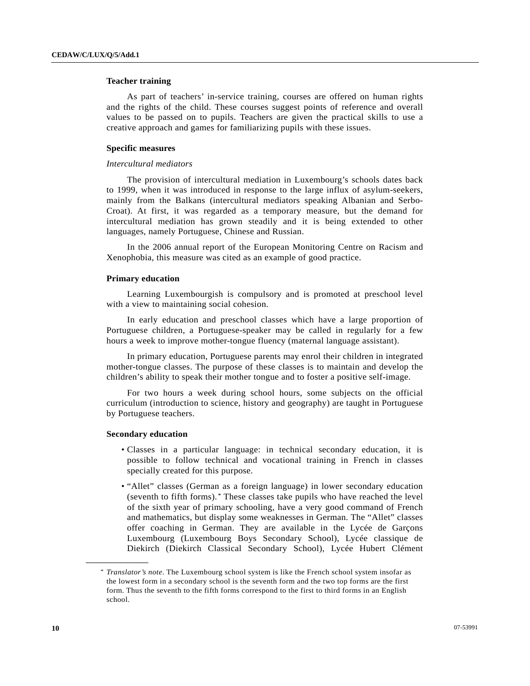### <span id="page-9-0"></span> **Teacher training**

 As part of teachers' in-service training, courses are offered on human rights and the rights of the child. These courses suggest points of reference and overall values to be passed on to pupils. Teachers are given the practical skills to use a creative approach and games for familiarizing pupils with these issues.

### **Specific measures**

#### *Intercultural mediators*

 The provision of intercultural mediation in Luxembourg's schools dates back to 1999, when it was introduced in response to the large influx of asylum-seekers, mainly from the Balkans (intercultural mediators speaking Albanian and Serbo-Croat). At first, it was regarded as a temporary measure, but the demand for intercultural mediation has grown steadily and it is being extended to other languages, namely Portuguese, Chinese and Russian.

 In the 2006 annual report of the European Monitoring Centre on Racism and Xenophobia, this measure was cited as an example of good practice.

### **Primary education**

 Learning Luxembourgish is compulsory and is promoted at preschool level with a view to maintaining social cohesion.

 In early education and preschool classes which have a large proportion of Portuguese children, a Portuguese-speaker may be called in regularly for a few hours a week to improve mother-tongue fluency (maternal language assistant).

 In primary education, Portuguese parents may enrol their children in integrated mother-tongue classes. The purpose of these classes is to maintain and develop the children's ability to speak their mother tongue and to foster a positive self-image.

 For two hours a week during school hours, some subjects on the official curriculum (introduction to science, history and geography) are taught in Portuguese by Portuguese teachers.

#### **Secondary education**

**\_\_\_\_\_\_\_\_\_\_\_\_\_\_\_\_\_\_** 

- Classes in a particular language: in technical secondary education, it is possible to follow technical and vocational training in French in classes specially created for this purpose.
- "Allet" classes (German as a foreign language) in lower secondary education (seventh to fifth forms).[\\*](#page-9-0) These classes take pupils who have reached the level of the sixth year of primary schooling, have a very good command of French and mathematics, but display some weaknesses in German. The "Allet" classes offer coaching in German. They are available in the Lycée de Garçons Luxembourg (Luxembourg Boys Secondary School), Lycée classique de Diekirch (Diekirch Classical Secondary School), Lycée Hubert Clément

<sup>\*</sup> *Translator's note*. The Luxembourg school system is like the French school system insofar as the lowest form in a secondary school is the seventh form and the two top forms are the first form. Thus the seventh to the fifth forms correspond to the first to third forms in an English school.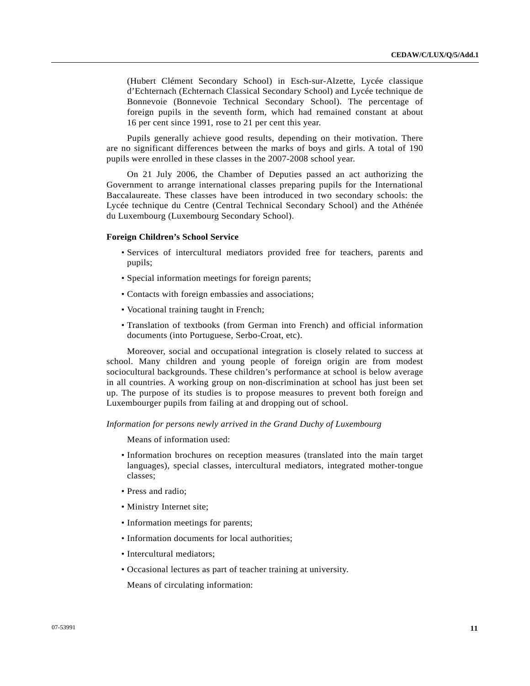(Hubert Clément Secondary School) in Esch-sur-Alzette, Lycée classique d'Echternach (Echternach Classical Secondary School) and Lycée technique de Bonnevoie (Bonnevoie Technical Secondary School). The percentage of foreign pupils in the seventh form, which had remained constant at about 16 per cent since 1991, rose to 21 per cent this year.

 Pupils generally achieve good results, depending on their motivation. There are no significant differences between the marks of boys and girls. A total of 190 pupils were enrolled in these classes in the 2007-2008 school year.

 On 21 July 2006, the Chamber of Deputies passed an act authorizing the Government to arrange international classes preparing pupils for the International Baccalaureate. These classes have been introduced in two secondary schools: the Lycée technique du Centre (Central Technical Secondary School) and the Athénée du Luxembourg (Luxembourg Secondary School).

#### **Foreign Children's School Service**

- Services of intercultural mediators provided free for teachers, parents and pupils;
- Special information meetings for foreign parents;
- Contacts with foreign embassies and associations;
- Vocational training taught in French;
- Translation of textbooks (from German into French) and official information documents (into Portuguese, Serbo-Croat, etc).

 Moreover, social and occupational integration is closely related to success at school. Many children and young people of foreign origin are from modest sociocultural backgrounds. These children's performance at school is below average in all countries. A working group on non-discrimination at school has just been set up. The purpose of its studies is to propose measures to prevent both foreign and Luxembourger pupils from failing at and dropping out of school.

### *Information for persons newly arrived in the Grand Duchy of Luxembourg*

Means of information used:

- Information brochures on reception measures (translated into the main target languages), special classes, intercultural mediators, integrated mother-tongue classes;
- Press and radio;
- Ministry Internet site;
- Information meetings for parents;
- Information documents for local authorities;
- Intercultural mediators;
- Occasional lectures as part of teacher training at university.

Means of circulating information: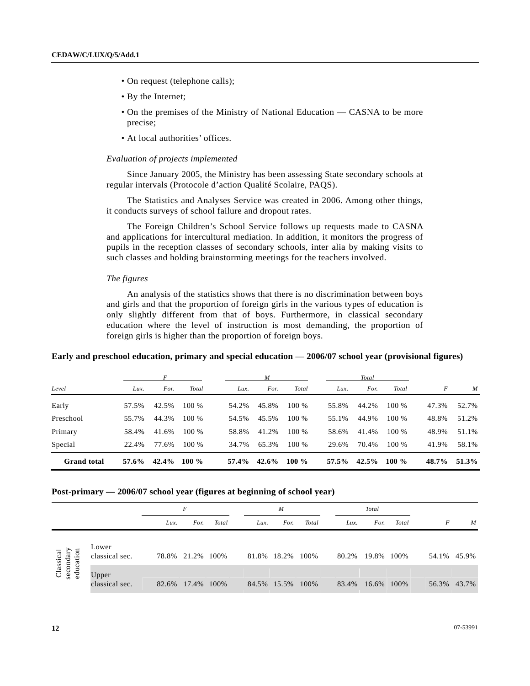- On request (telephone calls);
- By the Internet;
- On the premises of the Ministry of National Education CASNA to be more precise;
- At local authorities' offices.

### *Evaluation of projects implemented*

 Since January 2005, the Ministry has been assessing State secondary schools at regular intervals (Protocole d'action Qualité Scolaire, PAQS).

 The Statistics and Analyses Service was created in 2006. Among other things, it conducts surveys of school failure and dropout rates.

 The Foreign Children's School Service follows up requests made to CASNA and applications for intercultural mediation. In addition, it monitors the progress of pupils in the reception classes of secondary schools, inter alia by making visits to such classes and holding brainstorming meetings for the teachers involved.

### *The figures*

 An analysis of the statistics shows that there is no discrimination between boys and girls and that the proportion of foreign girls in the various types of education is only slightly different from that of boys. Furthermore, in classical secondary education where the level of instruction is most demanding, the proportion of foreign girls is higher than the proportion of foreign boys.

# **Early and preschool education, primary and special education — 2006/07 school year (provisional figures)**

|                    |       | F     |         |       | $\boldsymbol{M}$ |         |       | Total |          |       |                  |
|--------------------|-------|-------|---------|-------|------------------|---------|-------|-------|----------|-------|------------------|
| Level              | Lux.  | For.  | Total   | Lux.  | For.             | Total   | Lux.  | For.  | Total    | F     | $\boldsymbol{M}$ |
| Early              | 57.5% | 42.5% | 100 %   | 54.2% | 45.8%            | 100 %   | 55.8% | 44.2% | 100 %    | 47.3% | 52.7%            |
| Preschool          | 55.7% | 44.3% | 100 %   | 54.5% | 45.5%            | 100 %   | 55.1% | 44.9% | 100 %    | 48.8% | 51.2%            |
| Primary            | 58.4% | 41.6% | 100 %   | 58.8% | 41.2%            | 100 %   | 58.6% | 41.4% | $100\%$  | 48.9% | 51.1%            |
| Special            | 22.4% | 77.6% | 100 %   | 34.7% | 65.3%            | 100 %   | 29.6% | 70.4% | $100\%$  | 41.9% | 58.1%            |
| <b>Grand</b> total | 57.6% | 42.4% | 100 $%$ | 57.4% | $42.6\%$         | 100 $%$ | 57.5% | 42.5% | $100 \%$ | 48.7% | 51.3%            |

#### **Post-primary — 2006/07 school year (figures at beginning of school year)**

|                        |                         |       | F          |       | $\boldsymbol{M}$ |                  |       | Total |            |       |   |             |
|------------------------|-------------------------|-------|------------|-------|------------------|------------------|-------|-------|------------|-------|---|-------------|
|                        |                         | Lux.  | For.       | Total | Lux.             | For.             | Total | Lux.  | For.       | Total | F | M           |
| Classical<br>secondary | Lower<br>classical sec. | 78.8% | 21.2% 100% |       | 81.8%            | 18.2%            | 100%  | 80.2% | 19.8% 100% |       |   | 54.1% 45.9% |
| educat                 | Upper<br>classical sec. | 82.6% | 17.4%      | 100%  |                  | 84.5% 15.5% 100% |       | 83.4% | 16.6% 100% |       |   | 56.3% 43.7% |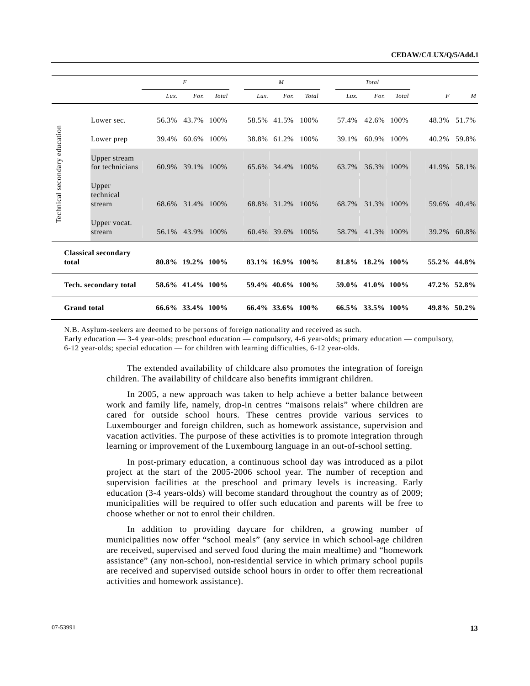|                               |                                 |       | $\boldsymbol{F}$    |       |       | M                |       |       | Total            |       |                  |       |
|-------------------------------|---------------------------------|-------|---------------------|-------|-------|------------------|-------|-------|------------------|-------|------------------|-------|
|                               |                                 | Lux.  | For.                | Total | Lux.  | For.             | Total | Lux.  | For.             | Total | $\boldsymbol{F}$ | M     |
|                               | Lower sec.                      | 56.3% | 43.7% 100%          |       |       | 58.5% 41.5%      | 100%  | 57.4% | 42.6%            | 100%  | 48.3%            | 51.7% |
|                               | Lower prep                      | 39.4% | 60.6%               | 100%  | 38.8% | 61.2%            | 100%  | 39.1% | 60.9%            | 100%  | 40.2%            | 59.8% |
|                               | Upper stream<br>for technicians | 60.9% | 39.1%               | 100%  |       | 65.6% 34.4%      | 100%  | 63.7% | 36.3%            | 100\% | 41.9%            | 58.1% |
| Technical secondary education | Upper<br>technical<br>stream    | 68.6% | 31.4%               | 100%  | 68.8% | 31.2%            | 100%  | 68.7% | 31.3% 100%       |       | 59.6%            | 40.4% |
|                               | Upper vocat.<br>stream          |       | 56.1% 43.9%         | 100%  |       | 60.4% 39.6%      | 100%  | 58.7% | 41.3% 100%       |       | 39.2%            | 60.8% |
| total                         | <b>Classical secondary</b>      |       | 80.8% 19.2% 100%    |       |       | 83.1% 16.9% 100% |       |       | 81.8% 18.2% 100% |       | 55.2% 44.8%      |       |
|                               | Tech. secondary total           |       | 58.6% 41.4% 100%    |       |       | 59.4% 40.6% 100% |       | 59.0% | 41.0% 100%       |       | 47.2% 52.8%      |       |
| <b>Grand</b> total            |                                 |       | $66.6\%$ 33.4% 100% |       |       | 66.4% 33.6% 100% |       |       | 66.5% 33.5% 100% |       | 49.8% 50.2%      |       |

N.B. Asylum-seekers are deemed to be persons of foreign nationality and received as such.

Early education — 3-4 year-olds; preschool education — compulsory, 4-6 year-olds; primary education — compulsory,

6-12 year-olds; special education — for children with learning difficulties, 6-12 year-olds.

 The extended availability of childcare also promotes the integration of foreign children. The availability of childcare also benefits immigrant children.

 In 2005, a new approach was taken to help achieve a better balance between work and family life, namely, drop-in centres "maisons relais" where children are cared for outside school hours. These centres provide various services to Luxembourger and foreign children, such as homework assistance, supervision and vacation activities. The purpose of these activities is to promote integration through learning or improvement of the Luxembourg language in an out-of-school setting.

 In post-primary education, a continuous school day was introduced as a pilot project at the start of the 2005-2006 school year. The number of reception and supervision facilities at the preschool and primary levels is increasing. Early education (3-4 years-olds) will become standard throughout the country as of 2009; municipalities will be required to offer such education and parents will be free to choose whether or not to enrol their children.

 In addition to providing daycare for children, a growing number of municipalities now offer "school meals" (any service in which school-age children are received, supervised and served food during the main mealtime) and "homework assistance" (any non-school, non-residential service in which primary school pupils are received and supervised outside school hours in order to offer them recreational activities and homework assistance).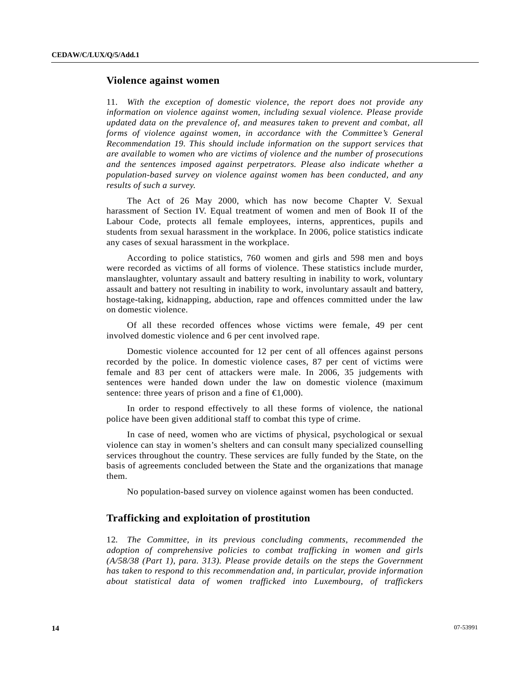# **Violence against women**

11. *With the exception of domestic violence, the report does not provide any information on violence against women, including sexual violence. Please provide updated data on the prevalence of, and measures taken to prevent and combat, all forms of violence against women, in accordance with the Committee's General Recommendation 19. This should include information on the support services that are available to women who are victims of violence and the number of prosecutions and the sentences imposed against perpetrators. Please also indicate whether a population-based survey on violence against women has been conducted, and any results of such a survey.* 

 The Act of 26 May 2000, which has now become Chapter V. Sexual harassment of Section IV. Equal treatment of women and men of Book II of the Labour Code, protects all female employees, interns, apprentices, pupils and students from sexual harassment in the workplace. In 2006, police statistics indicate any cases of sexual harassment in the workplace.

 According to police statistics, 760 women and girls and 598 men and boys were recorded as victims of all forms of violence. These statistics include murder, manslaughter, voluntary assault and battery resulting in inability to work, voluntary assault and battery not resulting in inability to work, involuntary assault and battery, hostage-taking, kidnapping, abduction, rape and offences committed under the law on domestic violence.

 Of all these recorded offences whose victims were female, 49 per cent involved domestic violence and 6 per cent involved rape.

 Domestic violence accounted for 12 per cent of all offences against persons recorded by the police. In domestic violence cases, 87 per cent of victims were female and 83 per cent of attackers were male. In 2006, 35 judgements with sentences were handed down under the law on domestic violence (maximum sentence: three years of prison and a fine of  $\epsilon 1,000$ .

 In order to respond effectively to all these forms of violence, the national police have been given additional staff to combat this type of crime.

 In case of need, women who are victims of physical, psychological or sexual violence can stay in women's shelters and can consult many specialized counselling services throughout the country. These services are fully funded by the State, on the basis of agreements concluded between the State and the organizations that manage them.

No population-based survey on violence against women has been conducted.

# **Trafficking and exploitation of prostitution**

12*. The Committee, in its previous concluding comments, recommended the adoption of comprehensive policies to combat trafficking in women and girls (A/58/38 (Part 1), para. 313). Please provide details on the steps the Government has taken to respond to this recommendation and, in particular, provide information about statistical data of women trafficked into Luxembourg, of traffickers*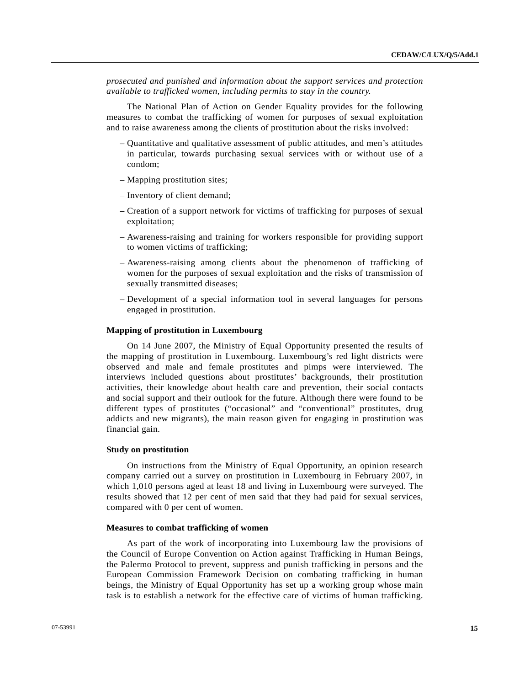*prosecuted and punished and information about the support services and protection available to trafficked women, including permits to stay in the country.* 

 The National Plan of Action on Gender Equality provides for the following measures to combat the trafficking of women for purposes of sexual exploitation and to raise awareness among the clients of prostitution about the risks involved:

- Quantitative and qualitative assessment of public attitudes, and men's attitudes in particular, towards purchasing sexual services with or without use of a condom;
- Mapping prostitution sites;
- Inventory of client demand;
- Creation of a support network for victims of trafficking for purposes of sexual exploitation;
- Awareness-raising and training for workers responsible for providing support to women victims of trafficking;
- Awareness-raising among clients about the phenomenon of trafficking of women for the purposes of sexual exploitation and the risks of transmission of sexually transmitted diseases;
- Development of a special information tool in several languages for persons engaged in prostitution.

#### **Mapping of prostitution in Luxembourg**

 On 14 June 2007, the Ministry of Equal Opportunity presented the results of the mapping of prostitution in Luxembourg. Luxembourg's red light districts were observed and male and female prostitutes and pimps were interviewed. The interviews included questions about prostitutes' backgrounds, their prostitution activities, their knowledge about health care and prevention, their social contacts and social support and their outlook for the future. Although there were found to be different types of prostitutes ("occasional" and "conventional" prostitutes, drug addicts and new migrants), the main reason given for engaging in prostitution was financial gain.

#### **Study on prostitution**

 On instructions from the Ministry of Equal Opportunity, an opinion research company carried out a survey on prostitution in Luxembourg in February 2007, in which 1,010 persons aged at least 18 and living in Luxembourg were surveyed. The results showed that 12 per cent of men said that they had paid for sexual services, compared with 0 per cent of women.

#### **Measures to combat trafficking of women**

 As part of the work of incorporating into Luxembourg law the provisions of the Council of Europe Convention on Action against Trafficking in Human Beings, the Palermo Protocol to prevent, suppress and punish trafficking in persons and the European Commission Framework Decision on combating trafficking in human beings, the Ministry of Equal Opportunity has set up a working group whose main task is to establish a network for the effective care of victims of human trafficking.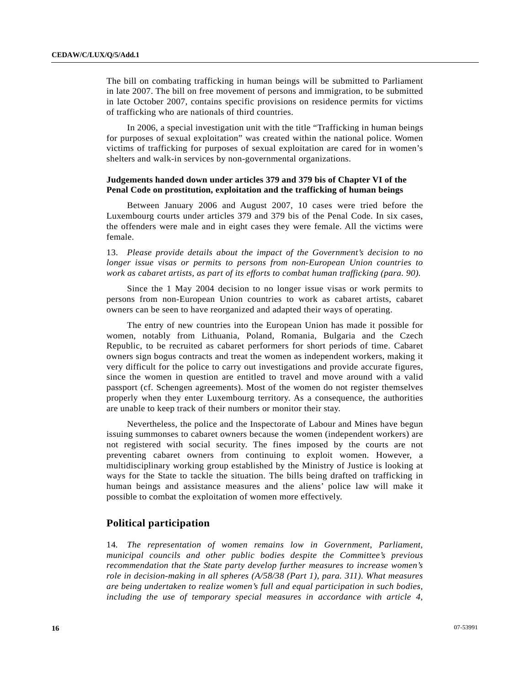The bill on combating trafficking in human beings will be submitted to Parliament in late 2007. The bill on free movement of persons and immigration, to be submitted in late October 2007, contains specific provisions on residence permits for victims of trafficking who are nationals of third countries.

 In 2006, a special investigation unit with the title "Trafficking in human beings for purposes of sexual exploitation" was created within the national police. Women victims of trafficking for purposes of sexual exploitation are cared for in women's shelters and walk-in services by non-governmental organizations.

### **Judgements handed down under articles 379 and 379 bis of Chapter VI of the Penal Code on prostitution, exploitation and the trafficking of human beings**

 Between January 2006 and August 2007, 10 cases were tried before the Luxembourg courts under articles 379 and 379 bis of the Penal Code. In six cases, the offenders were male and in eight cases they were female. All the victims were female.

13. *Please provide details about the impact of the Government's decision to no longer issue visas or permits to persons from non-European Union countries to work as cabaret artists, as part of its efforts to combat human trafficking (para. 90).*

 Since the 1 May 2004 decision to no longer issue visas or work permits to persons from non-European Union countries to work as cabaret artists, cabaret owners can be seen to have reorganized and adapted their ways of operating.

 The entry of new countries into the European Union has made it possible for women, notably from Lithuania, Poland, Romania, Bulgaria and the Czech Republic, to be recruited as cabaret performers for short periods of time. Cabaret owners sign bogus contracts and treat the women as independent workers, making it very difficult for the police to carry out investigations and provide accurate figures, since the women in question are entitled to travel and move around with a valid passport (cf. Schengen agreements). Most of the women do not register themselves properly when they enter Luxembourg territory. As a consequence, the authorities are unable to keep track of their numbers or monitor their stay.

 Nevertheless, the police and the Inspectorate of Labour and Mines have begun issuing summonses to cabaret owners because the women (independent workers) are not registered with social security. The fines imposed by the courts are not preventing cabaret owners from continuing to exploit women. However, a multidisciplinary working group established by the Ministry of Justice is looking at ways for the State to tackle the situation. The bills being drafted on trafficking in human beings and assistance measures and the aliens' police law will make it possible to combat the exploitation of women more effectively.

# **Political participation**

14*. The representation of women remains low in Government, Parliament, municipal councils and other public bodies despite the Committee's previous recommendation that the State party develop further measures to increase women's role in decision-making in all spheres (A/58/38 (Part 1), para. 311). What measures are being undertaken to realize women's full and equal participation in such bodies, including the use of temporary special measures in accordance with article 4,*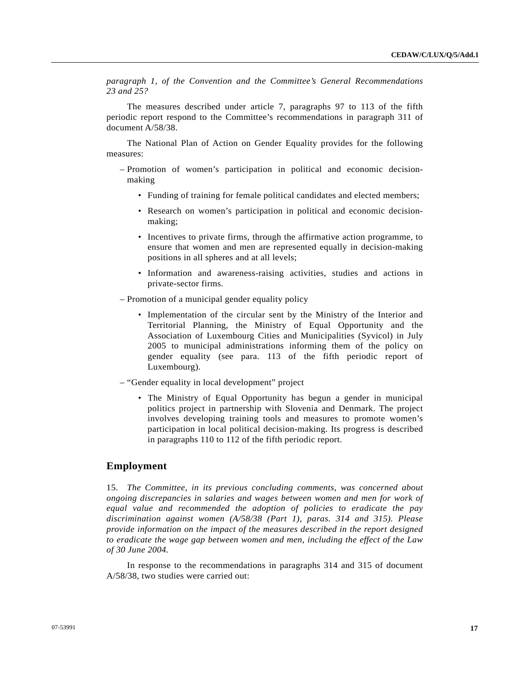*paragraph 1, of the Convention and the Committee's General Recommendations 23 and 25?* 

 The measures described under article 7, paragraphs 97 to 113 of the fifth periodic report respond to the Committee's recommendations in paragraph 311 of document A/58/38.

 The National Plan of Action on Gender Equality provides for the following measures:

- Promotion of women's participation in political and economic decisionmaking
	- Funding of training for female political candidates and elected members;
	- Research on women's participation in political and economic decisionmaking;
	- Incentives to private firms, through the affirmative action programme, to ensure that women and men are represented equally in decision-making positions in all spheres and at all levels;
	- Information and awareness-raising activities, studies and actions in private-sector firms.
- Promotion of a municipal gender equality policy
	- Implementation of the circular sent by the Ministry of the Interior and Territorial Planning, the Ministry of Equal Opportunity and the Association of Luxembourg Cities and Municipalities (Syvicol) in July 2005 to municipal administrations informing them of the policy on gender equality (see para. 113 of the fifth periodic report of Luxembourg).
- "Gender equality in local development" project
	- The Ministry of Equal Opportunity has begun a gender in municipal politics project in partnership with Slovenia and Denmark. The project involves developing training tools and measures to promote women's participation in local political decision-making. Its progress is described in paragraphs 110 to 112 of the fifth periodic report.

### **Employment**

15. *The Committee, in its previous concluding comments, was concerned about ongoing discrepancies in salaries and wages between women and men for work of equal value and recommended the adoption of policies to eradicate the pay discrimination against women (A/58/38 (Part 1), paras. 314 and 315). Please provide information on the impact of the measures described in the report designed to eradicate the wage gap between women and men, including the effect of the Law of 30 June 2004.* 

 In response to the recommendations in paragraphs 314 and 315 of document A/58/38, two studies were carried out: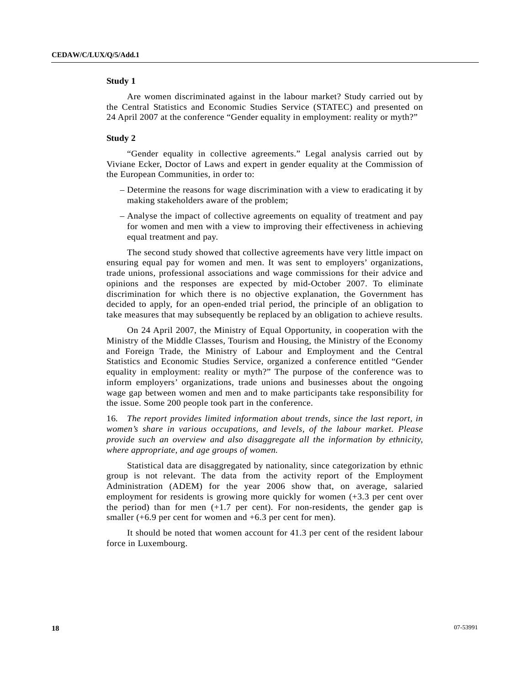### **Study 1**

 Are women discriminated against in the labour market? Study carried out by the Central Statistics and Economic Studies Service (STATEC) and presented on 24 April 2007 at the conference "Gender equality in employment: reality or myth?"

### **Study 2**

 "Gender equality in collective agreements." Legal analysis carried out by Viviane Ecker, Doctor of Laws and expert in gender equality at the Commission of the European Communities, in order to:

- Determine the reasons for wage discrimination with a view to eradicating it by making stakeholders aware of the problem;
- Analyse the impact of collective agreements on equality of treatment and pay for women and men with a view to improving their effectiveness in achieving equal treatment and pay.

 The second study showed that collective agreements have very little impact on ensuring equal pay for women and men. It was sent to employers' organizations, trade unions, professional associations and wage commissions for their advice and opinions and the responses are expected by mid-October 2007. To eliminate discrimination for which there is no objective explanation, the Government has decided to apply, for an open-ended trial period, the principle of an obligation to take measures that may subsequently be replaced by an obligation to achieve results.

 On 24 April 2007, the Ministry of Equal Opportunity, in cooperation with the Ministry of the Middle Classes, Tourism and Housing, the Ministry of the Economy and Foreign Trade, the Ministry of Labour and Employment and the Central Statistics and Economic Studies Service, organized a conference entitled "Gender equality in employment: reality or myth?" The purpose of the conference was to inform employers' organizations, trade unions and businesses about the ongoing wage gap between women and men and to make participants take responsibility for the issue. Some 200 people took part in the conference.

16*. The report provides limited information about trends, since the last report, in women's share in various occupations, and levels, of the labour market. Please provide such an overview and also disaggregate all the information by ethnicity, where appropriate, and age groups of women.* 

 Statistical data are disaggregated by nationality, since categorization by ethnic group is not relevant. The data from the activity report of the Employment Administration (ADEM) for the year 2006 show that, on average, salaried employment for residents is growing more quickly for women (+3.3 per cent over the period) than for men  $(+1.7$  per cent). For non-residents, the gender gap is smaller (+6.9 per cent for women and +6.3 per cent for men).

 It should be noted that women account for 41.3 per cent of the resident labour force in Luxembourg.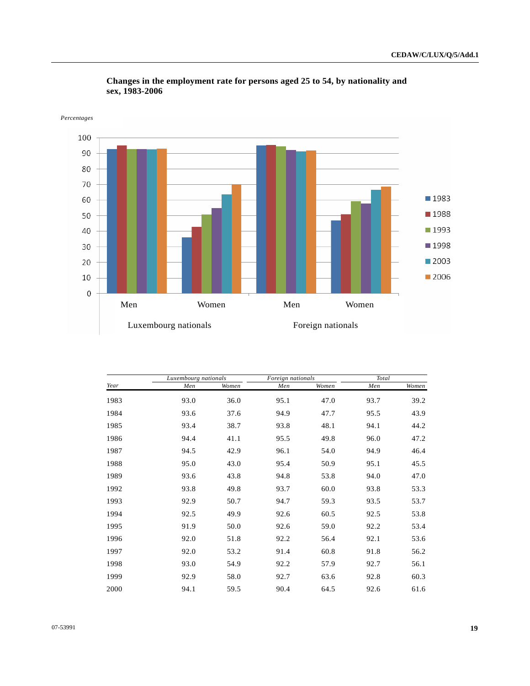

 **Changes in the employment rate for persons aged 25 to 54, by nationality and sex, 1983-2006** 

|      | Luxembourg nationals |       | Foreign nationals |       | Total |       |  |
|------|----------------------|-------|-------------------|-------|-------|-------|--|
| Year | Men                  | Women | Men               | Women | Men   | Women |  |
| 1983 | 93.0                 | 36.0  | 95.1              | 47.0  | 93.7  | 39.2  |  |
| 1984 | 93.6                 | 37.6  | 94.9              | 47.7  | 95.5  | 43.9  |  |
| 1985 | 93.4                 | 38.7  | 93.8              | 48.1  | 94.1  | 44.2  |  |
| 1986 | 94.4                 | 41.1  | 95.5              | 49.8  | 96.0  | 47.2  |  |
| 1987 | 94.5                 | 42.9  | 96.1              | 54.0  | 94.9  | 46.4  |  |
| 1988 | 95.0                 | 43.0  | 95.4              | 50.9  | 95.1  | 45.5  |  |
| 1989 | 93.6                 | 43.8  | 94.8              | 53.8  | 94.0  | 47.0  |  |
| 1992 | 93.8                 | 49.8  | 93.7              | 60.0  | 93.8  | 53.3  |  |
| 1993 | 92.9                 | 50.7  | 94.7              | 59.3  | 93.5  | 53.7  |  |
| 1994 | 92.5                 | 49.9  | 92.6              | 60.5  | 92.5  | 53.8  |  |
| 1995 | 91.9                 | 50.0  | 92.6              | 59.0  | 92.2  | 53.4  |  |
| 1996 | 92.0                 | 51.8  | 92.2              | 56.4  | 92.1  | 53.6  |  |
| 1997 | 92.0                 | 53.2  | 91.4              | 60.8  | 91.8  | 56.2  |  |
| 1998 | 93.0                 | 54.9  | 92.2              | 57.9  | 92.7  | 56.1  |  |
| 1999 | 92.9                 | 58.0  | 92.7              | 63.6  | 92.8  | 60.3  |  |
| 2000 | 94.1                 | 59.5  | 90.4              | 64.5  | 92.6  | 61.6  |  |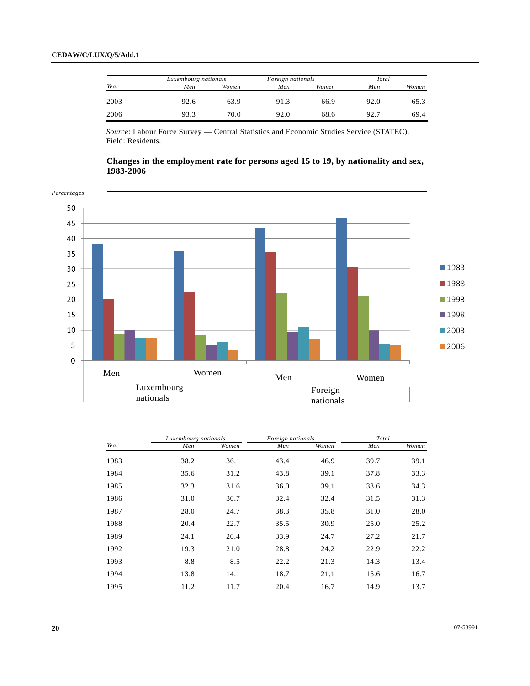| Year | Luxembourg nationals |       | Foreign nationals |       | Total |       |  |
|------|----------------------|-------|-------------------|-------|-------|-------|--|
|      | Men                  | Women | Men               | Women | Men   | Women |  |
| 2003 | 92.6                 | 63.9  | 91.3              | 66.9  | 92.0  | 65.3  |  |
| 2006 | 93.3                 | 70.0  | 92.0              | 68.6  | 92.7  | 69.4  |  |

*Source*: Labour Force Survey — Central Statistics and Economic Studies Service (STATEC). Field: Residents.

# **Changes in the employment rate for persons aged 15 to 19, by nationality and sex, 1983-2006**



|      | Luxembourg nationals |       | Foreign nationals |       | Total |       |
|------|----------------------|-------|-------------------|-------|-------|-------|
| Year | Men                  | Women | Men               | Women | Men   | Women |
| 1983 | 38.2                 | 36.1  | 43.4              | 46.9  | 39.7  | 39.1  |
| 1984 | 35.6                 | 31.2  | 43.8              | 39.1  | 37.8  | 33.3  |
| 1985 | 32.3                 | 31.6  | 36.0              | 39.1  | 33.6  | 34.3  |
| 1986 | 31.0                 | 30.7  | 32.4              | 32.4  | 31.5  | 31.3  |
| 1987 | 28.0                 | 24.7  | 38.3              | 35.8  | 31.0  | 28.0  |
| 1988 | 20.4                 | 22.7  | 35.5              | 30.9  | 25.0  | 25.2  |
| 1989 | 24.1                 | 20.4  | 33.9              | 24.7  | 27.2  | 21.7  |
| 1992 | 19.3                 | 21.0  | 28.8              | 24.2  | 22.9  | 22.2  |
| 1993 | 8.8                  | 8.5   | 22.2              | 21.3  | 14.3  | 13.4  |
| 1994 | 13.8                 | 14.1  | 18.7              | 21.1  | 15.6  | 16.7  |
| 1995 | 11.2                 | 11.7  | 20.4              | 16.7  | 14.9  | 13.7  |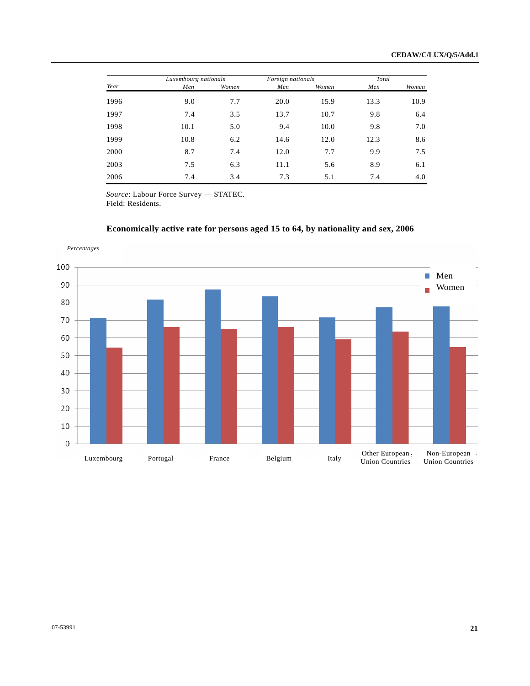|      | Luxembourg nationals |       | Foreign nationals |       | Total |       |
|------|----------------------|-------|-------------------|-------|-------|-------|
| Year | Men                  | Women | Men               | Women | Men   | Women |
| 1996 | 9.0                  | 7.7   | 20.0              | 15.9  | 13.3  | 10.9  |
| 1997 | 7.4                  | 3.5   | 13.7              | 10.7  | 9.8   | 6.4   |
| 1998 | 10.1                 | 5.0   | 9.4               | 10.0  | 9.8   | 7.0   |
| 1999 | 10.8                 | 6.2   | 14.6              | 12.0  | 12.3  | 8.6   |
| 2000 | 8.7                  | 7.4   | 12.0              | 7.7   | 9.9   | 7.5   |
| 2003 | 7.5                  | 6.3   | 11.1              | 5.6   | 8.9   | 6.1   |
| 2006 | 7.4                  | 3.4   | 7.3               | 5.1   | 7.4   | 4.0   |

*Source*: Labour Force Survey — STATEC. Field: Residents.



# **Economically active rate for persons aged 15 to 64, by nationality and sex, 2006**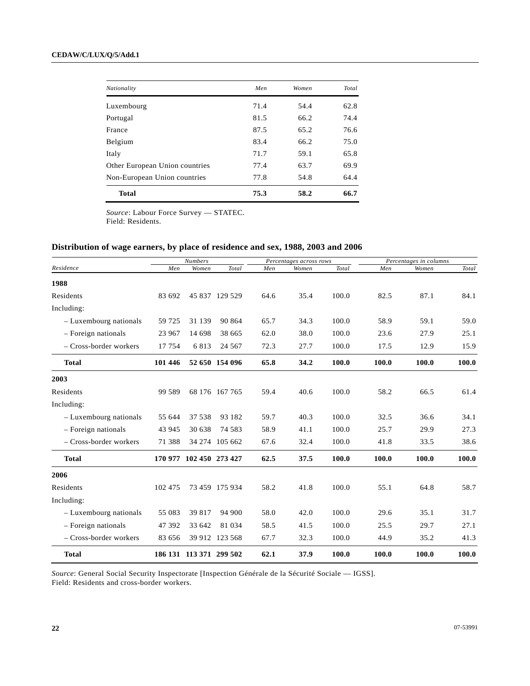| Nationality                    | Men  | Women | Total |
|--------------------------------|------|-------|-------|
| Luxembourg                     | 71.4 | 54.4  | 62.8  |
| Portugal                       | 81.5 | 66.2  | 74.4  |
| France                         | 87.5 | 65.2  | 76.6  |
| Belgium                        | 83.4 | 66.2  | 75.0  |
| Italy                          | 71.7 | 59.1  | 65.8  |
| Other European Union countries | 77.4 | 63.7  | 69.9  |
| Non-European Union countries   | 77.8 | 54.8  | 64.4  |
| <b>Total</b>                   | 75.3 | 58.2  | 66.7  |

*Source*: Labour Force Survey — STATEC. Field: Residents.

# **Distribution of wage earners, by place of residence and sex, 1988, 2003 and 2006**

|                         |         | <b>Numbers</b>          |                |      | Percentages across rows |       |       | Percentages in columns |       |
|-------------------------|---------|-------------------------|----------------|------|-------------------------|-------|-------|------------------------|-------|
| Residence               | Men     | Women                   | Total          | Men  | Women                   | Total | Men   | Women                  | Total |
| 1988                    |         |                         |                |      |                         |       |       |                        |       |
| Residents               | 83 692  |                         | 45 837 129 529 | 64.6 | 35.4                    | 100.0 | 82.5  | 87.1                   | 84.1  |
| Including:              |         |                         |                |      |                         |       |       |                        |       |
| - Luxembourg nationals  | 59 725  | 31 139                  | 90 864         | 65.7 | 34.3                    | 100.0 | 58.9  | 59.1                   | 59.0  |
| - Foreign nationals     | 23 967  | 14 698                  | 38 665         | 62.0 | 38.0                    | 100.0 | 23.6  | 27.9                   | 25.1  |
| - Cross-border workers  | 17 754  | 6813                    | 24 5 67        | 72.3 | 27.7                    | 100.0 | 17.5  | 12.9                   | 15.9  |
| <b>Total</b>            | 101 446 |                         | 52 650 154 096 | 65.8 | 34.2                    | 100.0 | 100.0 | 100.0                  | 100.0 |
| 2003                    |         |                         |                |      |                         |       |       |                        |       |
| Residents               | 99 589  |                         | 68 176 167 765 | 59.4 | 40.6                    | 100.0 | 58.2  | 66.5                   | 61.4  |
| Including:              |         |                         |                |      |                         |       |       |                        |       |
| - Luxembourg nationals  | 55 644  | 37 538                  | 93 182         | 59.7 | 40.3                    | 100.0 | 32.5  | 36.6                   | 34.1  |
| - Foreign nationals     | 43 945  | 30 638                  | 74 583         | 58.9 | 41.1                    | 100.0 | 25.7  | 29.9                   | 27.3  |
| $-Cross-border workers$ | 71 388  |                         | 34 274 105 662 | 67.6 | 32.4                    | 100.0 | 41.8  | 33.5                   | 38.6  |
| <b>Total</b>            |         | 170 977 102 450 273 427 |                | 62.5 | 37.5                    | 100.0 | 100.0 | 100.0                  | 100.0 |
| 2006                    |         |                         |                |      |                         |       |       |                        |       |
| Residents               | 102 475 |                         | 73 459 175 934 | 58.2 | 41.8                    | 100.0 | 55.1  | 64.8                   | 58.7  |
| Including:              |         |                         |                |      |                         |       |       |                        |       |
| - Luxembourg nationals  | 55 083  | 39 817                  | 94 900         | 58.0 | 42.0                    | 100.0 | 29.6  | 35.1                   | 31.7  |
| $-$ Foreign nationals   | 47 392  | 33 642                  | 81 034         | 58.5 | 41.5                    | 100.0 | 25.5  | 29.7                   | 27.1  |
| $-Cross-border workers$ | 83 656  | 39 912                  | 123 568        | 67.7 | 32.3                    | 100.0 | 44.9  | 35.2                   | 41.3  |
| <b>Total</b>            |         | 186 131 113 371 299 502 |                | 62.1 | 37.9                    | 100.0 | 100.0 | 100.0                  | 100.0 |

*Source*: General Social Security Inspectorate [Inspection Générale de la Sécurité Sociale — IGSS]. Field: Residents and cross-border workers.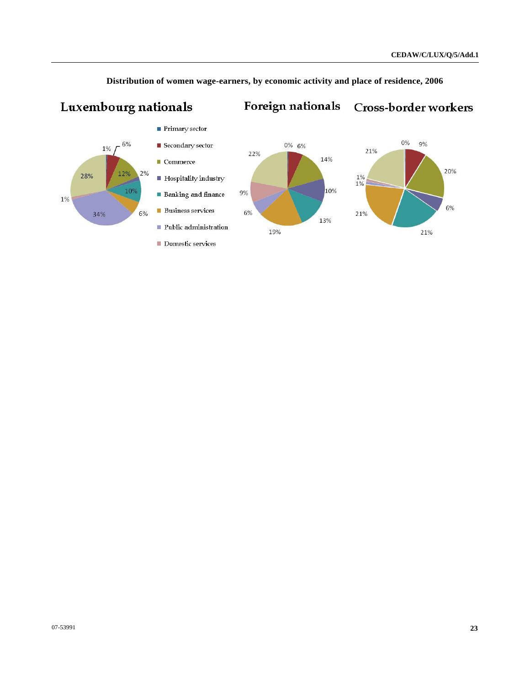Cross-border workers



Luxembourg nationals

 **Distribution of women wage-earners, by economic activity and place of residence, 2006** 

Foreign nationals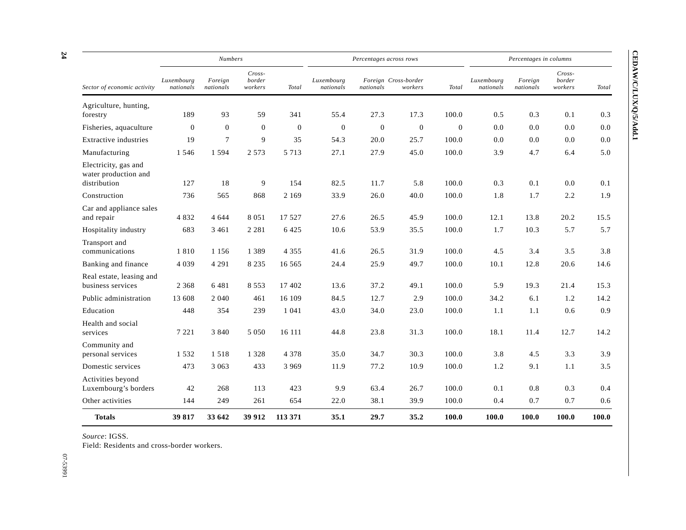|                                               |                         | <b>Numbers</b>       |                               |              |                         | Percentages across rows |                                 |          | Percentages in columns  |                      |                               |       |
|-----------------------------------------------|-------------------------|----------------------|-------------------------------|--------------|-------------------------|-------------------------|---------------------------------|----------|-------------------------|----------------------|-------------------------------|-------|
| Sector of economic activity                   | Luxembourg<br>nationals | Foreign<br>nationals | $Cross-$<br>border<br>workers | Total        | Luxembourg<br>nationals | nationals               | Foreign Cross-border<br>workers | Total    | Luxembourg<br>nationals | Foreign<br>nationals | $Cross-$<br>border<br>workers | Total |
| Agriculture, hunting,                         |                         |                      |                               |              |                         |                         |                                 |          |                         |                      |                               |       |
| forestry                                      | 189                     | 93                   | 59                            | 341          | 55.4                    | 27.3                    | 17.3                            | 100.0    | 0.5                     | 0.3                  | 0.1                           | 0.3   |
| Fisheries, aquaculture                        | $\Omega$                | $\mathbf{0}$         | $\Omega$                      | $\mathbf{0}$ | $\theta$                | $\theta$                | $\theta$                        | $\theta$ | 0.0                     | 0.0                  | 0.0                           | 0.0   |
| Extractive industries                         | 19                      | $\tau$               | 9                             | 35           | 54.3                    | 20.0                    | 25.7                            | 100.0    | 0.0                     | 0.0                  | 0.0                           | 0.0   |
| Manufacturing                                 | 1 5 4 6                 | 1 5 9 4              | 2 5 7 3                       | 5 7 1 3      | 27.1                    | 27.9                    | 45.0                            | 100.0    | 3.9                     | 4.7                  | 6.4                           | 5.0   |
| Electricity, gas and<br>water production and  |                         |                      |                               |              |                         |                         |                                 |          |                         |                      |                               |       |
| distribution                                  | 127                     | 18                   | 9                             | 154          | 82.5                    | 11.7                    | 5.8                             | 100.0    | 0.3                     | 0.1                  | 0.0                           | 0.1   |
| Construction                                  | 736                     | 565                  | 868                           | 2 1 6 9      | 33.9                    | 26.0                    | 40.0                            | 100.0    | 1.8                     | 1.7                  | 2.2                           | 1.9   |
| Car and appliance sales<br>and repair         | 4832                    | 4 6 4 4              | 8 0 5 1                       | 17 527       | 27.6                    | 26.5                    | 45.9                            | 100.0    | 12.1                    | 13.8                 | 20.2                          | 15.5  |
| Hospitality industry                          | 683                     | 3 4 6 1              | 2 2 8 1                       | 6425         | 10.6                    | 53.9                    | 35.5                            | 100.0    | 1.7                     | 10.3                 | 5.7                           | 5.7   |
| Transport and<br>communications               | 1810                    | 1 1 5 6              | 1 3 8 9                       | 4 3 5 5      | 41.6                    | 26.5                    | 31.9                            | 100.0    | 4.5                     | 3.4                  | 3.5                           | 3.8   |
| Banking and finance                           | 4 0 3 9                 | 4 2 9 1              | 8 2 3 5                       | 16 5 6 5     | 24.4                    | 25.9                    | 49.7                            | 100.0    | 10.1                    | 12.8                 | 20.6                          | 14.6  |
| Real estate, leasing and<br>business services | 2 3 6 8                 | 6481                 | 8 5 5 3                       | 17 402       | 13.6                    | 37.2                    | 49.1                            | 100.0    | 5.9                     | 19.3                 | 21.4                          | 15.3  |
| Public administration                         | 13 608                  | 2 0 4 0              | 461                           | 16 109       | 84.5                    | 12.7                    | 2.9                             | 100.0    | 34.2                    | 6.1                  | 1.2                           | 14.2  |
| Education                                     | 448                     | 354                  | 239                           | 1 0 4 1      | 43.0                    | 34.0                    | 23.0                            | 100.0    | 1.1                     | 1.1                  | 0.6                           | 0.9   |
| Health and social<br>services                 | 7 2 2 1                 | 3840                 | 5 0 5 0                       | 16 111       | 44.8                    | 23.8                    | 31.3                            | 100.0    | 18.1                    | 11.4                 | 12.7                          | 14.2  |
| Community and<br>personal services            | 1532                    | 1518                 | 1 3 2 8                       | 4 3 7 8      | 35.0                    | 34.7                    | 30.3                            | 100.0    | 3.8                     | 4.5                  | 3.3                           | 3.9   |
| Domestic services                             | 473                     | 3 0 6 3              | 433                           | 3 9 6 9      | 11.9                    | 77.2                    | 10.9                            | 100.0    | 1.2                     | 9.1                  | 1.1                           | 3.5   |
| Activities beyond<br>Luxembourg's borders     | 42                      | 268                  | 113                           | 423          | 9.9                     | 63.4                    | 26.7                            | 100.0    | 0.1                     | 0.8                  | 0.3                           | 0.4   |
| Other activities                              | 144                     | 249                  | 261                           | 654          | 22.0                    | 38.1                    | 39.9                            | 100.0    | 0.4                     | 0.7                  | 0.7                           | 0.6   |
| <b>Totals</b>                                 | 39 817                  | 33 642               | 39 912                        | 113 371      | 35.1                    | 29.7                    | 35.2                            | 100.0    | 100.0                   | 100.0                | 100.0                         | 100.0 |

*Source*: IGSS.

Field: Residents and cross-border workers.

07-53991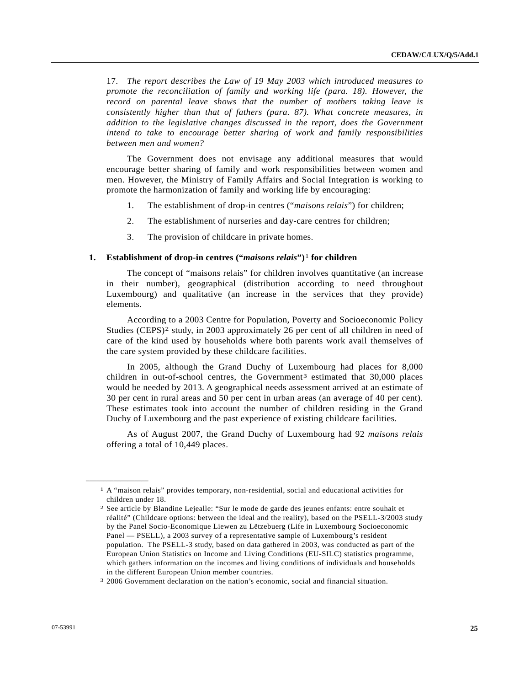<span id="page-24-0"></span>17. *The report describes the Law of 19 May 2003 which introduced measures to promote the reconciliation of family and working life (para. 18). However, the record on parental leave shows that the number of mothers taking leave is consistently higher than that of fathers (para. 87). What concrete measures, in addition to the legislative changes discussed in the report, does the Government intend to take to encourage better sharing of work and family responsibilities between men and women?*

 The Government does not envisage any additional measures that would encourage better sharing of family and work responsibilities between women and men. However, the Ministry of Family Affairs and Social Integration is working to promote the harmonization of family and working life by encouraging:

- 1. The establishment of drop-in centres ("*maisons relais*") for children;
- 2. The establishment of nurseries and day-care centres for children;
- 3. The provision of childcare in private homes.

### **1. Establishment of drop-in centres ("***maisons relais***")**[1](#page-24-0) **for children**

 The concept of "maisons relais" for children involves quantitative (an increase in their number), geographical (distribution according to need throughout Luxembourg) and qualitative (an increase in the services that they provide) elements.

 According to a 2003 Centre for Population, Poverty and Socioeconomic Policy Studies (CEPS)<sup>[2](#page-24-0)</sup> study, in 2003 approximately 26 per cent of all children in need of care of the kind used by households where both parents work avail themselves of the care system provided by these childcare facilities.

 In 2005, although the Grand Duchy of Luxembourg had places for 8,000 children in out-of-school centres, the Government<sup>3</sup> estimated that  $30,000$  places would be needed by 2013. A geographical needs assessment arrived at an estimate of 30 per cent in rural areas and 50 per cent in urban areas (an average of 40 per cent). These estimates took into account the number of children residing in the Grand Duchy of Luxembourg and the past experience of existing childcare facilities.

 As of August 2007, the Grand Duchy of Luxembourg had 92 *maisons relais* offering a total of 10,449 places.

**\_\_\_\_\_\_\_\_\_\_\_\_\_\_\_\_\_\_** 

<sup>1</sup> A "maison relais" provides temporary, non-residential, social and educational activities for children under 18.

<sup>2</sup> See article by Blandine Lejealle: "Sur le mode de garde des jeunes enfants: entre souhait et réalité" (Childcare options: between the ideal and the reality), based on the PSELL-3/2003 study by the Panel Socio-Economique Liewen zu Lëtzebuerg (Life in Luxembourg Socioeconomic Panel — PSELL), a 2003 survey of a representative sample of Luxembourg's resident population. The PSELL-3 study, based on data gathered in 2003, was conducted as part of the European Union Statistics on Income and Living Conditions (EU-SILC) statistics programme, which gathers information on the incomes and living conditions of individuals and households in the different European Union member countries.

<sup>3 2006</sup> Government declaration on the nation's economic, social and financial situation.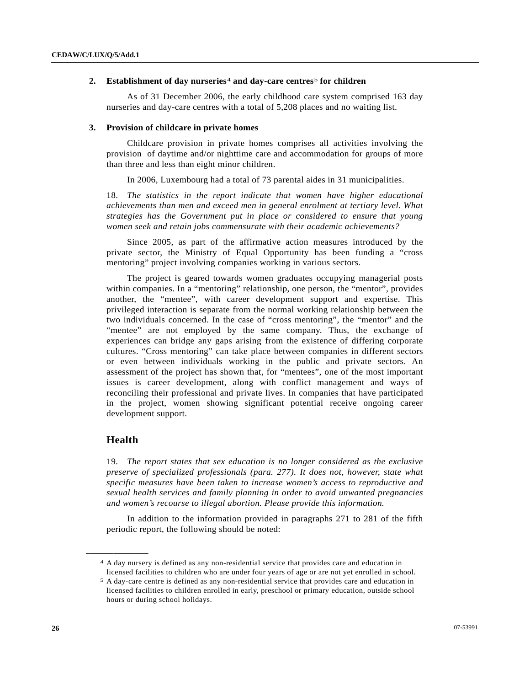### <span id="page-25-0"></span> **2. Establishment of day nurseries**[4](#page-25-0) **and day-care centres**[5](#page-25-0) **for children**

 As of 31 December 2006, the early childhood care system comprised 163 day nurseries and day-care centres with a total of 5,208 places and no waiting list.

#### **3. Provision of childcare in private homes**

 Childcare provision in private homes comprises all activities involving the provision of daytime and/or nighttime care and accommodation for groups of more than three and less than eight minor children.

In 2006, Luxembourg had a total of 73 parental aides in 31 municipalities.

18. *The statistics in the report indicate that women have higher educational achievements than men and exceed men in general enrolment at tertiary level. What strategies has the Government put in place or considered to ensure that young women seek and retain jobs commensurate with their academic achievements?*

 Since 2005, as part of the affirmative action measures introduced by the private sector, the Ministry of Equal Opportunity has been funding a "cross mentoring" project involving companies working in various sectors.

 The project is geared towards women graduates occupying managerial posts within companies. In a "mentoring" relationship, one person, the "mentor", provides another, the "mentee", with career development support and expertise. This privileged interaction is separate from the normal working relationship between the two individuals concerned. In the case of "cross mentoring", the "mentor" and the "mentee" are not employed by the same company. Thus, the exchange of experiences can bridge any gaps arising from the existence of differing corporate cultures. "Cross mentoring" can take place between companies in different sectors or even between individuals working in the public and private sectors. An assessment of the project has shown that, for "mentees", one of the most important issues is career development, along with conflict management and ways of reconciling their professional and private lives. In companies that have participated in the project, women showing significant potential receive ongoing career development support.

# **Health**

**\_\_\_\_\_\_\_\_\_\_\_\_\_\_\_\_\_\_** 

19. *The report states that sex education is no longer considered as the exclusive preserve of specialized professionals (para. 277). It does not, however, state what specific measures have been taken to increase women's access to reproductive and sexual health services and family planning in order to avoid unwanted pregnancies and women's recourse to illegal abortion. Please provide this information.*

 In addition to the information provided in paragraphs 271 to 281 of the fifth periodic report, the following should be noted:

<sup>4</sup> A day nursery is defined as any non-residential service that provides care and education in licensed facilities to children who are under four years of age or are not yet enrolled in school.

<sup>5</sup> A day-care centre is defined as any non-residential service that provides care and education in licensed facilities to children enrolled in early, preschool or primary education, outside school hours or during school holidays.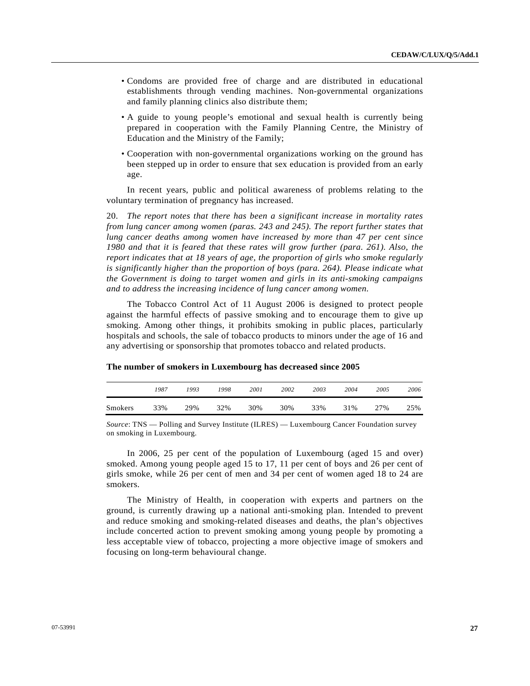- Condoms are provided free of charge and are distributed in educational establishments through vending machines. Non-governmental organizations and family planning clinics also distribute them;
- A guide to young people's emotional and sexual health is currently being prepared in cooperation with the Family Planning Centre, the Ministry of Education and the Ministry of the Family;
- Cooperation with non-governmental organizations working on the ground has been stepped up in order to ensure that sex education is provided from an early age.

 In recent years, public and political awareness of problems relating to the voluntary termination of pregnancy has increased.

20. *The report notes that there has been a significant increase in mortality rates from lung cancer among women (paras. 243 and 245). The report further states that lung cancer deaths among women have increased by more than 47 per cent since 1980 and that it is feared that these rates will grow further (para. 261). Also, the report indicates that at 18 years of age, the proportion of girls who smoke regularly is significantly higher than the proportion of boys (para. 264). Please indicate what the Government is doing to target women and girls in its anti-smoking campaigns and to address the increasing incidence of lung cancer among women.*

 The Tobacco Control Act of 11 August 2006 is designed to protect people against the harmful effects of passive smoking and to encourage them to give up smoking. Among other things, it prohibits smoking in public places, particularly hospitals and schools, the sale of tobacco products to minors under the age of 16 and any advertising or sponsorship that promotes tobacco and related products.

|         | 1987 | 1993 | 1998 | 2001 | 2002 | 2003 | 2004 | 2005 | 2006 |
|---------|------|------|------|------|------|------|------|------|------|
| Smokers | 33%  | 29%  | 32%  | 30%  | 30%  | 33%  | 31%  | 27%  | 25%  |

#### **The number of smokers in Luxembourg has decreased since 2005**

*Source*: TNS — Polling and Survey Institute (ILRES) — Luxembourg Cancer Foundation survey on smoking in Luxembourg.

 In 2006, 25 per cent of the population of Luxembourg (aged 15 and over) smoked. Among young people aged 15 to 17, 11 per cent of boys and 26 per cent of girls smoke, while 26 per cent of men and 34 per cent of women aged 18 to 24 are smokers.

 The Ministry of Health, in cooperation with experts and partners on the ground, is currently drawing up a national anti-smoking plan. Intended to prevent and reduce smoking and smoking-related diseases and deaths, the plan's objectives include concerted action to prevent smoking among young people by promoting a less acceptable view of tobacco, projecting a more objective image of smokers and focusing on long-term behavioural change.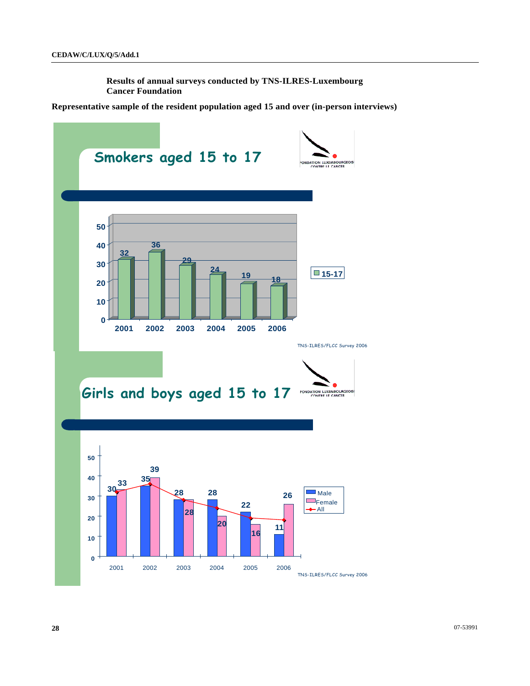**Results of annual surveys conducted by TNS-ILRES-Luxembourg Cancer Foundation** 

**Representative sample of the resident population aged 15 and over (in-person interviews)** 

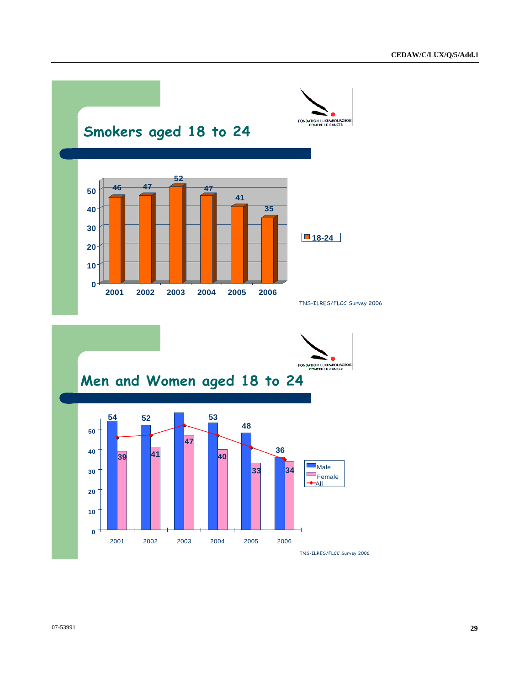

TNS-ILRES/FLCC Survey 2006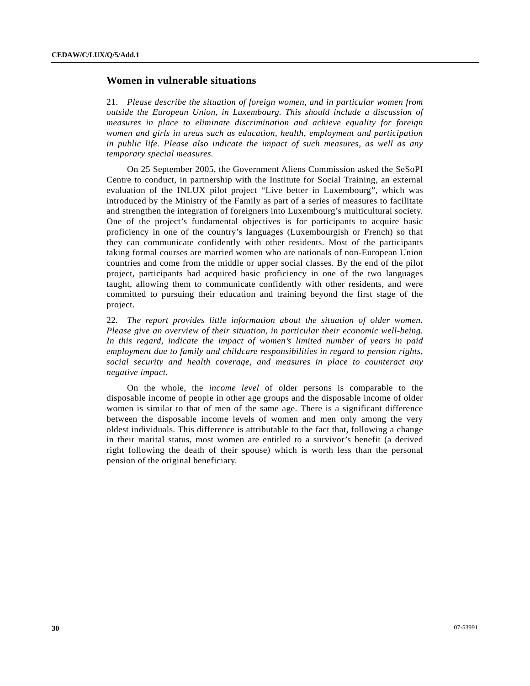# **Women in vulnerable situations**

21. *Please describe the situation of foreign women, and in particular women from outside the European Union, in Luxembourg. This should include a discussion of measures in place to eliminate discrimination and achieve equality for foreign women and girls in areas such as education, health, employment and participation in public life. Please also indicate the impact of such measures, as well as any temporary special measures.* 

 On 25 September 2005, the Government Aliens Commission asked the SeSoPI Centre to conduct, in partnership with the Institute for Social Training, an external evaluation of the INLUX pilot project "Live better in Luxembourg", which was introduced by the Ministry of the Family as part of a series of measures to facilitate and strengthen the integration of foreigners into Luxembourg's multicultural society. One of the project's fundamental objectives is for participants to acquire basic proficiency in one of the country's languages (Luxembourgish or French) so that they can communicate confidently with other residents. Most of the participants taking formal courses are married women who are nationals of non-European Union countries and come from the middle or upper social classes. By the end of the pilot project, participants had acquired basic proficiency in one of the two languages taught, allowing them to communicate confidently with other residents, and were committed to pursuing their education and training beyond the first stage of the project.

22*. The report provides little information about the situation of older women. Please give an overview of their situation, in particular their economic well-being. In this regard, indicate the impact of women's limited number of years in paid employment due to family and childcare responsibilities in regard to pension rights, social security and health coverage, and measures in place to counteract any negative impact.* 

 On the whole, the *income level* of older persons is comparable to the disposable income of people in other age groups and the disposable income of older women is similar to that of men of the same age. There is a significant difference between the disposable income levels of women and men only among the very oldest individuals. This difference is attributable to the fact that, following a change in their marital status, most women are entitled to a survivor's benefit (a derived right following the death of their spouse) which is worth less than the personal pension of the original beneficiary.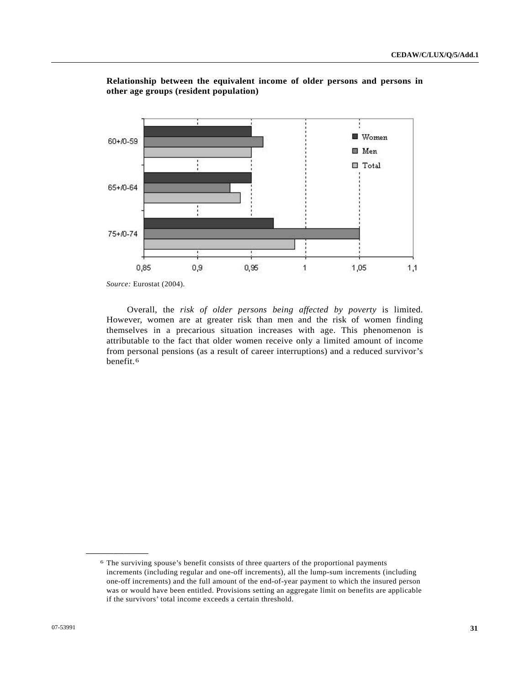

# <span id="page-30-0"></span>**Relationship between the equivalent income of older persons and persons in other age groups (resident population)**

*Source:* Eurostat (2004).

 Overall, the *risk of older persons being affected by poverty* is limited. However, women are at greater risk than men and the risk of women finding themselves in a precarious situation increases with age. This phenomenon is attributable to the fact that older women receive only a limited amount of income from personal pensions (as a result of career interruptions) and a reduced survivor's benefit.[6](#page-30-0)

**\_\_\_\_\_\_\_\_\_\_\_\_\_\_\_\_\_\_** 

<sup>6</sup> The surviving spouse's benefit consists of three quarters of the proportional payments increments (including regular and one-off increments), all the lump-sum increments (including one-off increments) and the full amount of the end-of-year payment to which the insured person was or would have been entitled. Provisions setting an aggregate limit on benefits are applicable if the survivors' total income exceeds a certain threshold.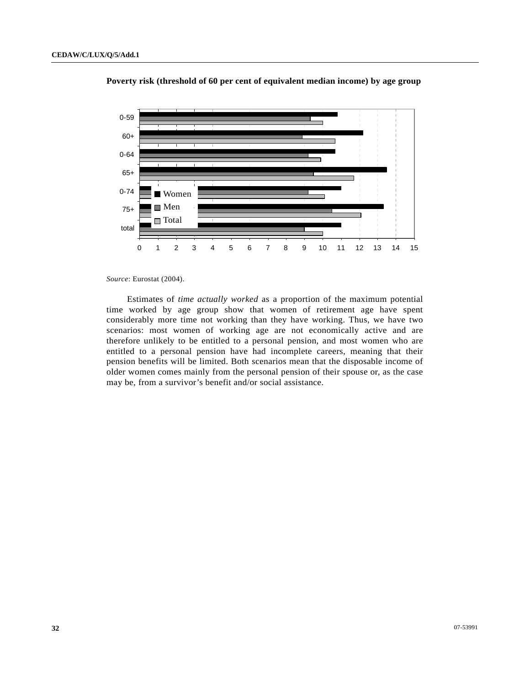

 **Poverty risk (threshold of 60 per cent of equivalent median income) by age group** 

*Source*: Eurostat (2004).

 Estimates of *time actually worked* as a proportion of the maximum potential time worked by age group show that women of retirement age have spent considerably more time not working than they have working. Thus, we have two scenarios: most women of working age are not economically active and are therefore unlikely to be entitled to a personal pension, and most women who are entitled to a personal pension have had incomplete careers, meaning that their pension benefits will be limited. Both scenarios mean that the disposable income of older women comes mainly from the personal pension of their spouse or, as the case may be, from a survivor's benefit and/or social assistance.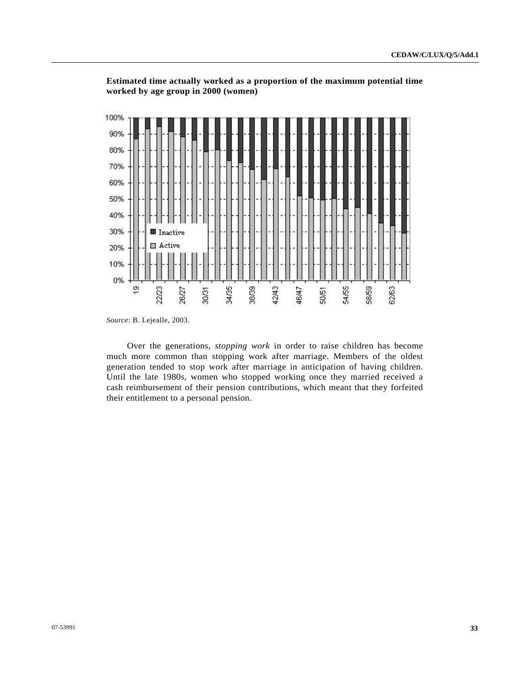

**Estimated time actually worked as a proportion of the maximum potential time worked by age group in 2000 (women)** 

 Over the generations, *stopping work* in order to raise children has become much more common than stopping work after marriage. Members of the oldest generation tended to stop work after marriage in anticipation of having children. Until the late 1980s, women who stopped working once they married received a cash reimbursement of their pension contributions, which meant that they forfeited their entitlement to a personal pension.

*Source*: B. Lejealle, 2003.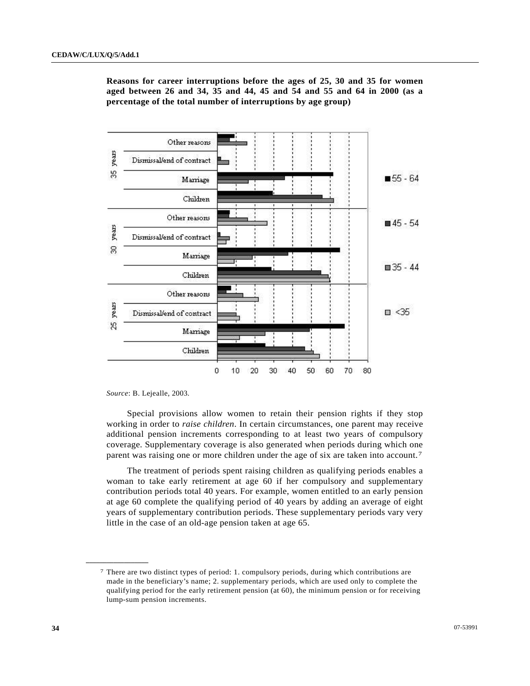

<span id="page-33-0"></span>**Reasons for career interruptions before the ages of 25, 30 and 35 for women aged between 26 and 34, 35 and 44, 45 and 54 and 55 and 64 in 2000 (as a percentage of the total number of interruptions by age group)** 

*Source*: B. Lejealle, 2003*.* 

**\_\_\_\_\_\_\_\_\_\_\_\_\_\_\_\_\_\_** 

 Special provisions allow women to retain their pension rights if they stop working in order to *raise children*. In certain circumstances, one parent may receive additional pension increments corresponding to at least two years of compulsory coverage. Supplementary coverage is also generated when periods during which one parent was raising one or more children under the age of six are taken into account.[7](#page-33-0)

 The treatment of periods spent raising children as qualifying periods enables a woman to take early retirement at age 60 if her compulsory and supplementary contribution periods total 40 years. For example, women entitled to an early pension at age 60 complete the qualifying period of 40 years by adding an average of eight years of supplementary contribution periods. These supplementary periods vary very little in the case of an old-age pension taken at age 65.

<sup>7</sup> There are two distinct types of period: 1. compulsory periods, during which contributions are made in the beneficiary's name; 2. supplementary periods, which are used only to complete the qualifying period for the early retirement pension (at 60), the minimum pension or for receiving lump-sum pension increments.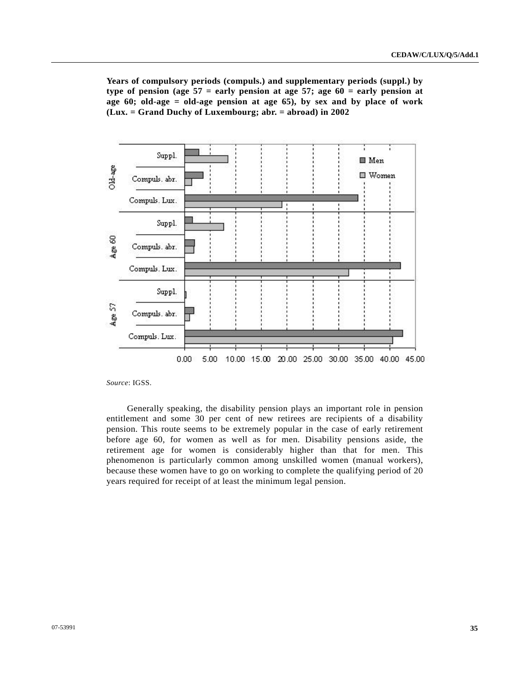**Years of compulsory periods (compuls.) and supplementary periods (suppl.) by**  type of pension (age  $57$  = early pension at age  $57$ ; age  $60$  = early pension at **age 60; old-age = old-age pension at age 65), by sex and by place of work (Lux. = Grand Duchy of Luxembourg; abr. = abroad) in 2002**



*Source*: IGSS.

 Generally speaking, the disability pension plays an important role in pension entitlement and some 30 per cent of new retirees are recipients of a disability pension. This route seems to be extremely popular in the case of early retirement before age 60, for women as well as for men. Disability pensions aside, the retirement age for women is considerably higher than that for men. This phenomenon is particularly common among unskilled women (manual workers), because these women have to go on working to complete the qualifying period of 20 years required for receipt of at least the minimum legal pension.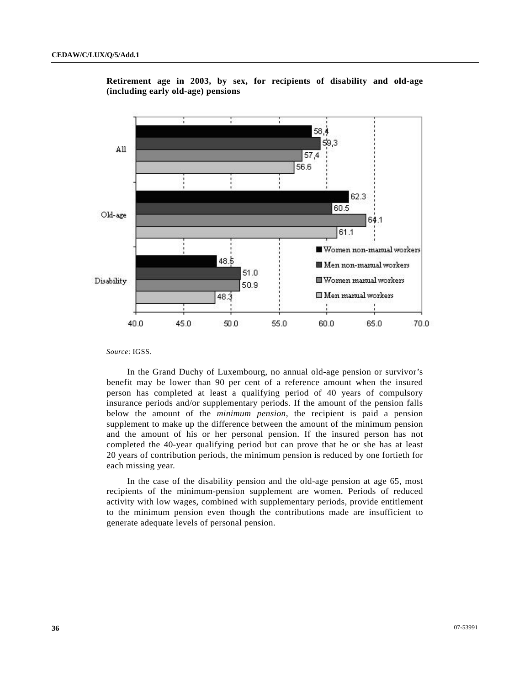

**Retirement age in 2003, by sex, for recipients of disability and old-age (including early old-age) pensions** 

*Source*: IGSS*.*

 In the Grand Duchy of Luxembourg, no annual old-age pension or survivor's benefit may be lower than 90 per cent of a reference amount when the insured person has completed at least a qualifying period of 40 years of compulsory insurance periods and/or supplementary periods. If the amount of the pension falls below the amount of the *minimum pension*, the recipient is paid a pension supplement to make up the difference between the amount of the minimum pension and the amount of his or her personal pension. If the insured person has not completed the 40-year qualifying period but can prove that he or she has at least 20 years of contribution periods, the minimum pension is reduced by one fortieth for each missing year.

 In the case of the disability pension and the old-age pension at age 65, most recipients of the minimum-pension supplement are women. Periods of reduced activity with low wages, combined with supplementary periods, provide entitlement to the minimum pension even though the contributions made are insufficient to generate adequate levels of personal pension.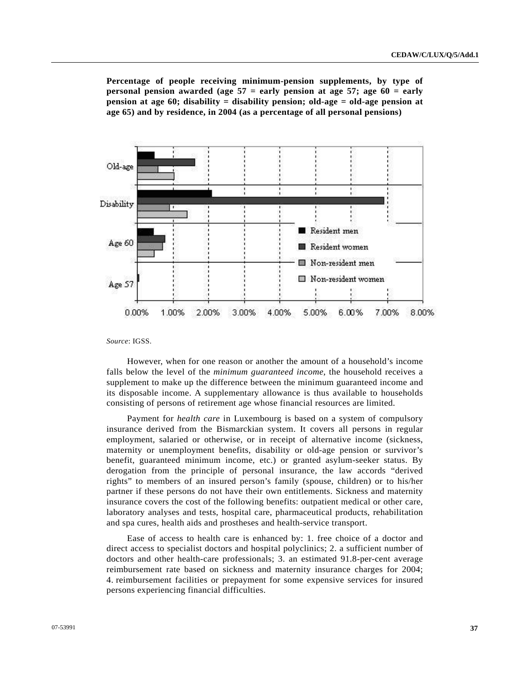**Percentage of people receiving minimum-pension supplements, by type of personal pension awarded (age 57 = early pension at age 57; age 60 = early pension at age 60; disability = disability pension; old-age = old-age pension at age 65) and by residence, in 2004 (as a percentage of all personal pensions)** 



*Source*: IGSS.

 However, when for one reason or another the amount of a household's income falls below the level of the *minimum guaranteed income*, the household receives a supplement to make up the difference between the minimum guaranteed income and its disposable income. A supplementary allowance is thus available to households consisting of persons of retirement age whose financial resources are limited.

 Payment for *health care* in Luxembourg is based on a system of compulsory insurance derived from the Bismarckian system. It covers all persons in regular employment, salaried or otherwise, or in receipt of alternative income (sickness, maternity or unemployment benefits, disability or old-age pension or survivor's benefit, guaranteed minimum income, etc.) or granted asylum-seeker status. By derogation from the principle of personal insurance, the law accords "derived rights" to members of an insured person's family (spouse, children) or to his/her partner if these persons do not have their own entitlements. Sickness and maternity insurance covers the cost of the following benefits: outpatient medical or other care, laboratory analyses and tests, hospital care, pharmaceutical products, rehabilitation and spa cures, health aids and prostheses and health-service transport.

 Ease of access to health care is enhanced by: 1. free choice of a doctor and direct access to specialist doctors and hospital polyclinics; 2. a sufficient number of doctors and other health-care professionals; 3. an estimated 91.8-per-cent average reimbursement rate based on sickness and maternity insurance charges for 2004; 4. reimbursement facilities or prepayment for some expensive services for insured persons experiencing financial difficulties.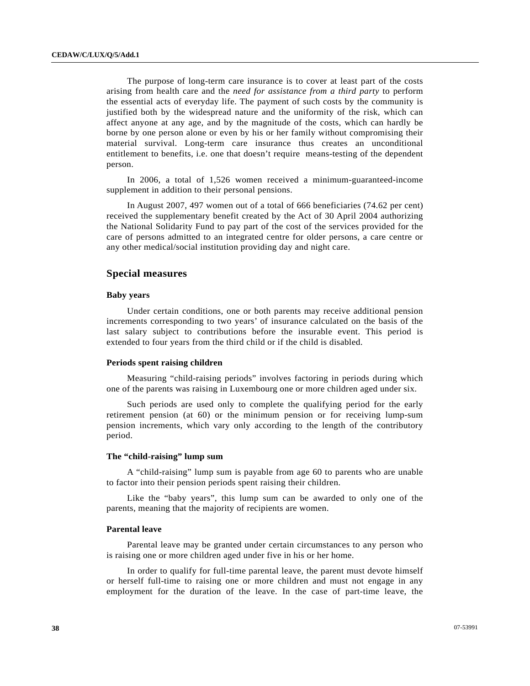The purpose of long-term care insurance is to cover at least part of the costs arising from health care and the *need for assistance from a third party* to perform the essential acts of everyday life. The payment of such costs by the community is justified both by the widespread nature and the uniformity of the risk, which can affect anyone at any age, and by the magnitude of the costs, which can hardly be borne by one person alone or even by his or her family without compromising their material survival. Long-term care insurance thus creates an unconditional entitlement to benefits, i.e. one that doesn't require means-testing of the dependent person.

 In 2006, a total of 1,526 women received a minimum-guaranteed-income supplement in addition to their personal pensions.

 In August 2007, 497 women out of a total of 666 beneficiaries (74.62 per cent) received the supplementary benefit created by the Act of 30 April 2004 authorizing the National Solidarity Fund to pay part of the cost of the services provided for the care of persons admitted to an integrated centre for older persons, a care centre or any other medical/social institution providing day and night care.

### **Special measures**

### **Baby years**

 Under certain conditions, one or both parents may receive additional pension increments corresponding to two years' of insurance calculated on the basis of the last salary subject to contributions before the insurable event. This period is extended to four years from the third child or if the child is disabled.

### **Periods spent raising children**

 Measuring "child-raising periods" involves factoring in periods during which one of the parents was raising in Luxembourg one or more children aged under six.

 Such periods are used only to complete the qualifying period for the early retirement pension (at 60) or the minimum pension or for receiving lump-sum pension increments, which vary only according to the length of the contributory period.

### **The "child-raising" lump sum**

 A "child-raising" lump sum is payable from age 60 to parents who are unable to factor into their pension periods spent raising their children.

 Like the "baby years", this lump sum can be awarded to only one of the parents, meaning that the majority of recipients are women.

### **Parental leave**

 Parental leave may be granted under certain circumstances to any person who is raising one or more children aged under five in his or her home.

 In order to qualify for full-time parental leave, the parent must devote himself or herself full-time to raising one or more children and must not engage in any employment for the duration of the leave. In the case of part-time leave, the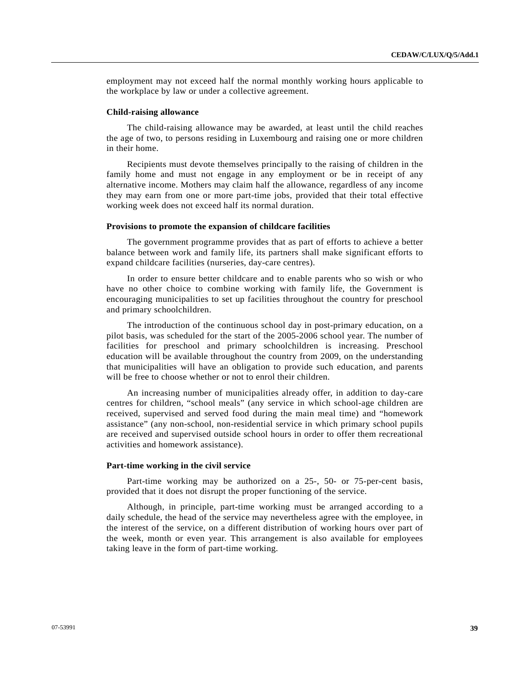employment may not exceed half the normal monthly working hours applicable to the workplace by law or under a collective agreement.

### **Child-raising allowance**

 The child-raising allowance may be awarded, at least until the child reaches the age of two, to persons residing in Luxembourg and raising one or more children in their home.

 Recipients must devote themselves principally to the raising of children in the family home and must not engage in any employment or be in receipt of any alternative income. Mothers may claim half the allowance, regardless of any income they may earn from one or more part-time jobs, provided that their total effective working week does not exceed half its normal duration.

#### **Provisions to promote the expansion of childcare facilities**

 The government programme provides that as part of efforts to achieve a better balance between work and family life, its partners shall make significant efforts to expand childcare facilities (nurseries, day-care centres).

 In order to ensure better childcare and to enable parents who so wish or who have no other choice to combine working with family life, the Government is encouraging municipalities to set up facilities throughout the country for preschool and primary schoolchildren.

 The introduction of the continuous school day in post-primary education, on a pilot basis, was scheduled for the start of the 2005-2006 school year. The number of facilities for preschool and primary schoolchildren is increasing. Preschool education will be available throughout the country from 2009, on the understanding that municipalities will have an obligation to provide such education, and parents will be free to choose whether or not to enrol their children.

 An increasing number of municipalities already offer, in addition to day-care centres for children, "school meals" (any service in which school-age children are received, supervised and served food during the main meal time) and "homework assistance" (any non-school, non-residential service in which primary school pupils are received and supervised outside school hours in order to offer them recreational activities and homework assistance).

#### **Part-time working in the civil service**

 Part-time working may be authorized on a 25-, 50- or 75-per-cent basis, provided that it does not disrupt the proper functioning of the service.

 Although, in principle, part-time working must be arranged according to a daily schedule, the head of the service may nevertheless agree with the employee, in the interest of the service, on a different distribution of working hours over part of the week, month or even year. This arrangement is also available for employees taking leave in the form of part-time working.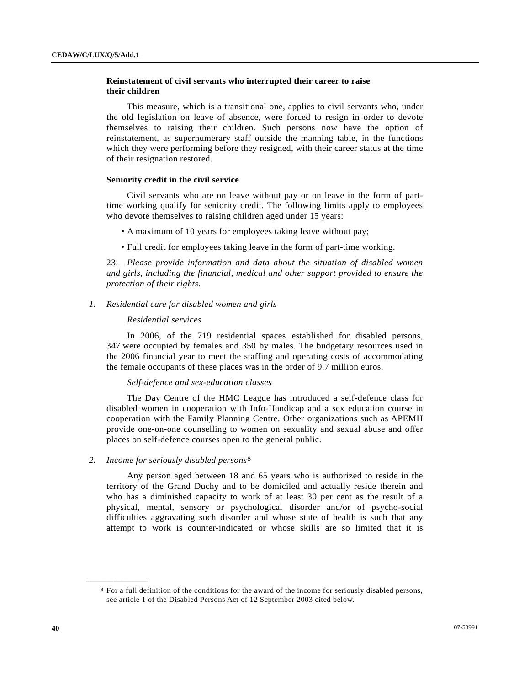# <span id="page-39-0"></span> **Reinstatement of civil servants who interrupted their career to raise their children**

 This measure, which is a transitional one, applies to civil servants who, under the old legislation on leave of absence, were forced to resign in order to devote themselves to raising their children. Such persons now have the option of reinstatement, as supernumerary staff outside the manning table, in the functions which they were performing before they resigned, with their career status at the time of their resignation restored.

### **Seniority credit in the civil service**

 Civil servants who are on leave without pay or on leave in the form of parttime working qualify for seniority credit. The following limits apply to employees who devote themselves to raising children aged under 15 years:

- A maximum of 10 years for employees taking leave without pay;
- Full credit for employees taking leave in the form of part-time working.

23. *Please provide information and data about the situation of disabled women and girls, including the financial, medical and other support provided to ensure the protection of their rights.* 

### *1. Residential care for disabled women and girls*

### *Residential services*

 In 2006, of the 719 residential spaces established for disabled persons, 347 were occupied by females and 350 by males. The budgetary resources used in the 2006 financial year to meet the staffing and operating costs of accommodating the female occupants of these places was in the order of 9.7 million euros.

### *Self-defence and sex-education classes*

 The Day Centre of the HMC League has introduced a self-defence class for disabled women in cooperation with Info-Handicap and a sex education course in cooperation with the Family Planning Centre. Other organizations such as APEMH provide one-on-one counselling to women on sexuality and sexual abuse and offer places on self-defence courses open to the general public.

### *2. Income for seriously disabled persons*[8](#page-39-0)

 Any person aged between 18 and 65 years who is authorized to reside in the territory of the Grand Duchy and to be domiciled and actually reside therein and who has a diminished capacity to work of at least 30 per cent as the result of a physical, mental, sensory or psychological disorder and/or of psycho-social difficulties aggravating such disorder and whose state of health is such that any attempt to work is counter-indicated or whose skills are so limited that it is

**\_\_\_\_\_\_\_\_\_\_\_\_\_\_\_\_\_\_** 

<sup>8</sup> For a full definition of the conditions for the award of the income for seriously disabled persons, see article 1 of the Disabled Persons Act of 12 September 2003 cited below.